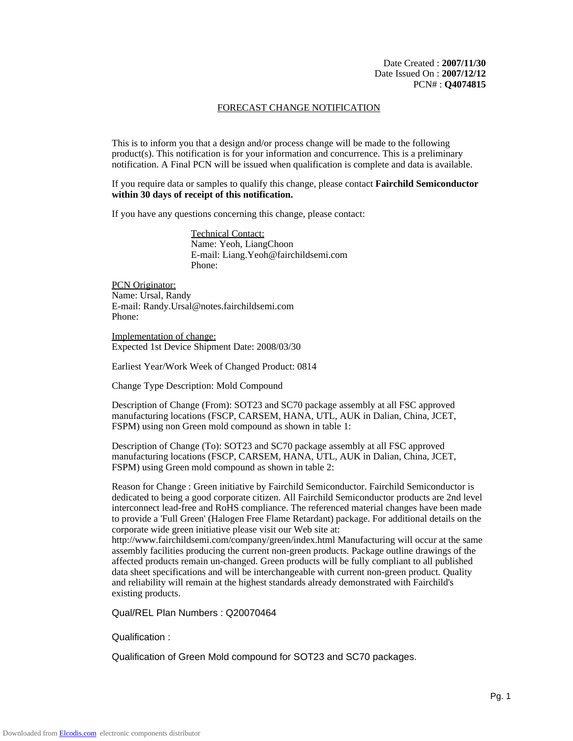### FORECAST CHANGE NOTIFICATION

This is to inform you that a design and/or process change will be made to the following product(s). This notification is for your information and concurrence. This is a preliminary notification. A Final PCN will be issued when qualification is complete and data is available.

If you require data or samples to qualify this change, please contact **Fairchild Semiconductor within 30 days of receipt of this notification.**

If you have any questions concerning this change, please contact:

Technical Contact: Name: Yeoh, LiangChoon E-mail: Liang.Yeoh@fairchildsemi.com Phone:

PCN Originator: Name: Ursal, Randy E-mail: Randy.Ursal@notes.fairchildsemi.com Phone:

Implementation of change: Expected 1st Device Shipment Date: 2008/03/30

Earliest Year/Work Week of Changed Product: 0814

Change Type Description: Mold Compound

Description of Change (From): SOT23 and SC70 package assembly at all FSC approved manufacturing locations (FSCP, CARSEM, HANA, UTL, AUK in Dalian, China, JCET, FSPM) using non Green mold compound as shown in table 1:

Description of Change (To): SOT23 and SC70 package assembly at all FSC approved manufacturing locations (FSCP, CARSEM, HANA, UTL, AUK in Dalian, China, JCET, FSPM) using Green mold compound as shown in table 2:

Reason for Change : Green initiative by Fairchild Semiconductor. Fairchild Semiconductor is dedicated to being a good corporate citizen. All Fairchild Semiconductor products are 2nd level interconnect lead-free and RoHS compliance. The referenced material changes have been made to provide a 'Full Green' (Halogen Free Flame Retardant) package. For additional details on the corporate wide green initiative please visit our Web site at:

http://www.fairchildsemi.com/company/green/index.html Manufacturing will occur at the same assembly facilities producing the current non-green products. Package outline drawings of the affected products remain un-changed. Green products will be fully compliant to all published data sheet specifications and will be interchangeable with current non-green product. Quality and reliability will remain at the highest standards already demonstrated with Fairchild's existing products.

Qual/REL Plan Numbers : Q20070464

Qualification :

Qualification of Green Mold compound for SOT23 and SC70 packages.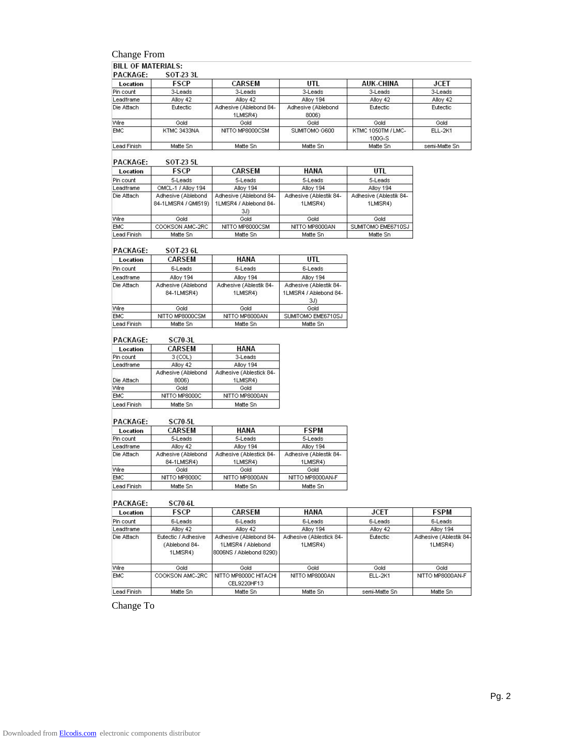# Change From

|  | <b>BILL OF MATERIALS:</b> |  |
|--|---------------------------|--|
|  |                           |  |

| <b>PACKAGE:</b> | SOT 23 3L   |                                    |                             |                              |               |
|-----------------|-------------|------------------------------------|-----------------------------|------------------------------|---------------|
| Location        | <b>FSCP</b> | CARSEM                             | UTL                         | <b>AUK-CHINA</b>             | <b>JCET</b>   |
| Pin count       | 3-Leads     | 3-Leads                            | 3-Leads                     | 3-Leads                      | 3-Leads       |
| Leadframe       | Alloy 42    | Alloy 42                           | Alloy 194                   | Alloy 42                     | Alloy 42      |
| Die Attach      | Eutectic    | Adhesive (Ablebond 84-<br>1LMISR4) | Adhesive (Ablebond<br>8006) | Eutectic                     | Eutectic      |
| Wire            | Gold        | Gold                               | Gold                        | Gold                         | Gold          |
| <b>EMC</b>      | KTMC 3433NA | NITTO MP8000CSM                    | SUMITOMO G600               | KTMC 1050TM / LMC-<br>100G-S | ELL-2K1       |
| Lead Finish     | Matte Sn    | Matte Sn                           | Matte Sn                    | Matte Sn                     | semi-Matte Sn |

#### PACKAGE: SOT-23 5L

| 1 AUNAUL.   | JUILJJL                                    |                                                         |                                    |                                    |
|-------------|--------------------------------------------|---------------------------------------------------------|------------------------------------|------------------------------------|
| Location    | FSCP                                       | CARSEM                                                  | HANA                               | UTL                                |
| Pin count   | 5-Leads                                    | 5-Leads                                                 | 5-Leads                            | 5-Leads                            |
| Leadframe   | OMCL-1 / Alloy 194                         | Alloy 194                                               | Alloy 194                          | Alloy 194                          |
| Die Attach  | Adhesive (Ablebond<br>84-1LMISR4 / QMI519) | Adhesive (Ablebond 84-<br>1LMISR4 / Ablebond 84-<br>3J) | Adhesive (Ablestik 84-<br>1LMISR4) | Adhesive (Ablestik 84-<br>1LMISR4) |
| Wire        | Gold                                       | Gold                                                    | Gold                               | Gold                               |
| <b>EMC</b>  | COOKSON AMC-2RC                            | NITTO MP8000CSM                                         | NITTO MP8000AN                     | SUMITOMO EME6710SJ                 |
| Lead Finish | Matte Sn                                   | Matte Sn                                                | Matte Sn.                          | Matte Sn                           |

#### PACKAGE: SOT-23 6L

| Location    | CARSEM                            | <b>HANA</b>                        | UTL                                                     |
|-------------|-----------------------------------|------------------------------------|---------------------------------------------------------|
| Pin count   | 6-Leads                           | 6-Leads                            | 6-Leads                                                 |
| Leadframe   | Alloy 194                         | Alloy 194                          | Alloy 194                                               |
| Die Attach  | Adhesive (Ablebond<br>84-1LMISR4) | Adhesive (Ablestik 84-<br>1LMISR4) | Adhesive (Ablestik 84-<br>1LMISR4 / Ablebond 84-<br>3J) |
| Wire        | Gold                              | Gold                               | Gold                                                    |
| <b>EMC</b>  | NITTO MP8000CSM                   | NITTO MP8000AN                     | SUMITOMO EME6710SJ                                      |
| Lead Finish | Matte Sn                          | Matte Sn                           | Matte Sn                                                |

### PACKAGE: SC70-3L

| Location    | CARSEM             | HANA                    |
|-------------|--------------------|-------------------------|
| Pin count   | 3 (COL)            | 3-Leads                 |
| Leadframe   | Alloy 42           | Alloy 194               |
|             | Adhesive (Ablebond | Adhesive (Ablestick 84- |
| Die Attach  | 8006)              | 1LMISR4)                |
| Wire        | Gold               | Gold                    |
| <b>EMC</b>  | NITTO MP8000C      | NITTO MP8000AN          |
| Lead Finish | Matte Sn           | Matte Sn                |

#### PACKAGE: **SC70-5L**

| $P_{\text{min}}$ | JUIU-JL                           |                                     |                                    |
|------------------|-----------------------------------|-------------------------------------|------------------------------------|
| <b>Location</b>  | <b>CARSEM</b>                     | <b>HANA</b>                         | <b>FSPM</b>                        |
| Pin count        | 5-Leads                           | 5-Leads                             | 5-Leads                            |
| Leadframe        | Alloy 42                          | Alloy 194                           | Alloy 194                          |
| Die Attach       | Adhesive (Ablebond<br>84-1LMISR4) | Adhesive (Ablestick 84-<br>1LMISR4) | Adhesive (Ablestik 84-<br>1LMISR4) |
| Wire             | Gold                              | Gold                                | Gold                               |
| <b>EMC</b>       | NITTO MP8000C                     | NITTO MP8000AN                      | NITTO MP8000AN-F                   |
| Lead Finish      | Matte Sn.                         | Matte Sn                            | Matte Sn                           |

#### PACKAGE: **SC70-6L**

| Location    | <b>FSCP</b>                                      | CARSEM                                                                  | HANA                                | <b>JCET</b>    | <b>FSPM</b>                        |
|-------------|--------------------------------------------------|-------------------------------------------------------------------------|-------------------------------------|----------------|------------------------------------|
| Pin count   | 6-Leads                                          | 6-Leads                                                                 | 6-Leads                             | 6-Leads        | 6-Leads                            |
| Leadframe   | Alloy 42                                         | Alloy 42                                                                | Alloy 194                           | Alloy 42       | Alloy 194                          |
| Die Attach  | Eutectic / Adhesive<br>(Ablebond 84-<br>1LMISR4) | Adhesive (Ablebond 84-<br>1LMISR4 / Ablebond<br>8006NS / Ablebond 8290) | Adhesive (Ablestick 84-<br>1LMISR4) | Eutectic       | Adhesive (Ablestik 84-<br>1LMISR4) |
| Wire        | Gold                                             | Gold                                                                    | Gold                                | Gold           | Gold                               |
| <b>EMC</b>  | COOKSON AMC-2RC                                  | NITTO MP8000C HITACHI<br>CEL9220HF13                                    | NITTO MP8000AN                      | <b>ELL-2K1</b> | NITTO MP8000AN-F                   |
| Lead Finish | Matte Sn                                         | Matte Sn                                                                | Matte Sn                            | semi-Matte Sn  | Matte Sn                           |

Change To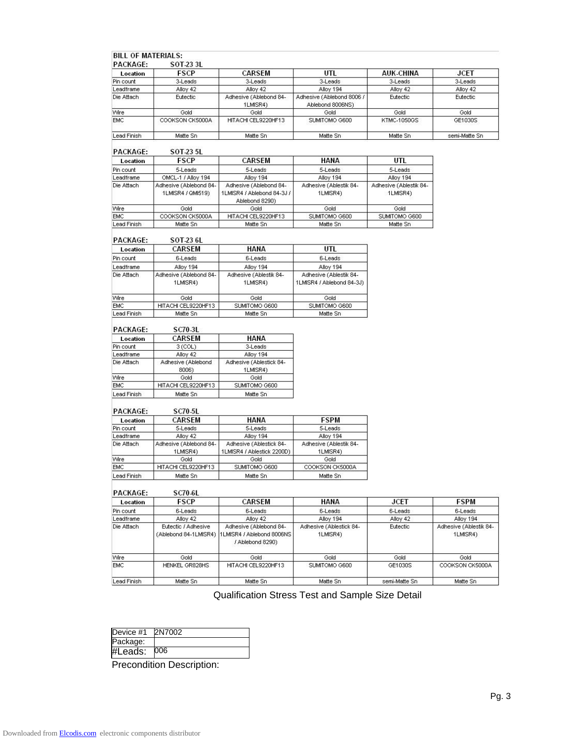| <b>PACKAGE:</b>           | SOT 23 3L                                    |                                                                         |                                                     |                                    |                                    |
|---------------------------|----------------------------------------------|-------------------------------------------------------------------------|-----------------------------------------------------|------------------------------------|------------------------------------|
| Location                  | FSCP                                         | CARSEM                                                                  | UTL                                                 | <b>AUK-CHINA</b>                   | <b>JCET</b>                        |
| Pin count                 | 3-Leads                                      | 3-Leads                                                                 | 3-Leads                                             | 3-Leads                            | 3-Leads                            |
| Leadframe                 | Alloy 42                                     | Alloy 42                                                                | Alloy 194                                           | Alloy 42                           | Alloy 42                           |
| Die Attach                | Eutectic                                     | Adhesive (Ablebond 84-<br>1LMISR4)                                      | Adhesive (Ablebond 8006 /<br>Ablebond 8006NS)       | Eutectic                           | Eutectic                           |
| Wire                      | Gold                                         | Gold                                                                    | Gold                                                | Gold                               | Gold                               |
| EMC                       | COOKSON CK5000A                              | HITACHI CEL9220HF13                                                     | SUMITOMO G600                                       | <b>KTMC-1050GS</b>                 | GE1030S                            |
| Lead Finish               | Matte Sn                                     | Matte Sn                                                                | Matte Sn                                            | Matte Sn                           | semi-Matte Sn                      |
| PACKAGE:                  | SOT 23 5L                                    |                                                                         |                                                     |                                    |                                    |
| Location                  | <b>FSCP</b>                                  | <b>CARSEM</b>                                                           | HANA                                                | UTL                                |                                    |
| Pin count                 | 5-Leads                                      | 5-Leads                                                                 | 5-Leads                                             | 5-Leads                            |                                    |
| Leadframe                 | OMCL-1 / Alloy 194                           | Alloy 194                                                               | Alloy 194                                           | Alloy 194                          |                                    |
| Die Attach                | Adhesive (Ablebond 84-<br>1LMISR4 / QMI519)  | Adhesive (Ablebond 84-<br>1LMISR4 / Ablebond 84-3J /<br>Ablebond 8290)  | Adhesive (Ablestik 84-<br>1LMISR4)                  | Adhesive (Ablestik 84-<br>1LMISR4) |                                    |
| Wire                      | Gold                                         | Gold                                                                    | Gold                                                | Gold                               |                                    |
| <b>EMC</b>                | COOKSON CK5000A                              | HITACHI CEL9220HF13                                                     | SUMITOMO G600                                       | SUMITOMO G600                      |                                    |
| Lead Finish               | Matte Sn                                     | Matte Sn                                                                | Matte Sn                                            | Matte Sn                           |                                    |
| PACKAGE:                  | SOT-23 6L                                    |                                                                         |                                                     |                                    |                                    |
| Location                  | CARSEM                                       | HANA                                                                    | UTL                                                 |                                    |                                    |
| Pin count                 | 6-Leads                                      | 6-Leads                                                                 | 6-Leads                                             |                                    |                                    |
| Leadframe                 | Alloy 194                                    | Alloy 194                                                               | Alloy 194                                           |                                    |                                    |
| Die Attach                | Adhesive (Ablebond 84-<br>1LMISR4)           | Adhesive (Ablestik 84-<br>1LMISR4)                                      | Adhesive (Ablestik 84-<br>1LMISR4 / Ablebond 84-3J) |                                    |                                    |
| Wire                      | Gold                                         | Gold                                                                    | Gold                                                |                                    |                                    |
| <b>EMC</b><br>Lead Finish | HITACHI CEL9220HF13<br>Matte Sn              | SUMITOMO G600<br>Matte Sn                                               | SUMITOMO G600<br>Matte Sn                           |                                    |                                    |
| PACKAGE:<br>Location      | SC70-3L<br>CARSEM                            | HANA<br>3-Leads                                                         |                                                     |                                    |                                    |
| Pin count<br>Leadframe    | 3 (COL)<br>Alloy 42                          | Alloy 194                                                               |                                                     |                                    |                                    |
| Die Attach                | Adhesive (Ablebond                           | Adhesive (Ablestick 84-                                                 |                                                     |                                    |                                    |
|                           | 8006)                                        | 1LMISR4)                                                                |                                                     |                                    |                                    |
| Wire                      | Gold                                         | Gold                                                                    |                                                     |                                    |                                    |
| <b>EMC</b>                | HITACHI CEL9220HF13                          | SUMITOMO G600                                                           |                                                     |                                    |                                    |
| Lead Finish               | Matte Sn                                     | Matte Sn                                                                |                                                     |                                    |                                    |
| PACKAGE:                  | <b>SC70-5L</b>                               |                                                                         |                                                     |                                    |                                    |
| Location                  | CARSEM                                       | HANA                                                                    | <b>FSPM</b>                                         |                                    |                                    |
| Pin count<br>Leadframe    | 5-Leads<br>Alloy 42                          | 5-Leads<br>Alloy 194                                                    | 5-Leads<br>Alloy 194                                |                                    |                                    |
| Die Attach                | Adhesive (Ablebond 84-                       | Adhesive (Ablestick 84-                                                 | Adhesive (Ablestik 84-                              |                                    |                                    |
|                           | 1LMISR4)                                     | 1LMISR4 / Ablestick 2200D)                                              | 1LMISR4)                                            |                                    |                                    |
| Wire                      | Gold                                         | Gold                                                                    | Gold                                                |                                    |                                    |
| EMC                       | HITACHI CEL9220HF13                          | SUMITOMO G600                                                           | COOKSON CK5000A                                     |                                    |                                    |
| Lead Finish               | Matte Sn                                     | Matte Sn.                                                               | Matte Sn                                            |                                    |                                    |
| PACKAGE:                  | <b>SC70-6L</b>                               |                                                                         |                                                     |                                    |                                    |
| Location                  | FSCP                                         | CARSEM                                                                  | HANA                                                | <b>JCET</b>                        | <b>FSPM</b>                        |
| Pin count                 | 6-Leads                                      | 6-Leads                                                                 | 6-Leads                                             | 6-Leads                            | 6-Leads                            |
| Leadframe                 | Alloy 42                                     | Alloy 42                                                                | Alloy 194                                           | Alloy 42                           | Alloy 194                          |
| Die Attach                | Eutectic / Adhesive<br>(Ablebond 84-1LMISR4) | Adhesive (Ablebond 84-<br>1LMISR4 / Ablebond 8006NS<br>/ Ablebond 8290) | Adhesive (Ablestick 84-<br>1LMISR4)                 | Eutectic                           | Adhesive (Ablestik 84-<br>1LMISR4) |
| Wire                      | Gold                                         | Gold                                                                    | Gold                                                | Gold                               | Gold                               |
|                           | HENKEL GR828HS                               | HITACHI CEL9220HF13                                                     | SUMITOMO G600                                       | GE1030S                            | COOKSON CK5000A                    |
| EMC                       |                                              |                                                                         |                                                     |                                    |                                    |

Qualification Stress Test and Sample Size Detail

| Device #1 | 2N7002 |
|-----------|--------|
| Package:  |        |
| #Leads:   | 006    |

Precondition Description: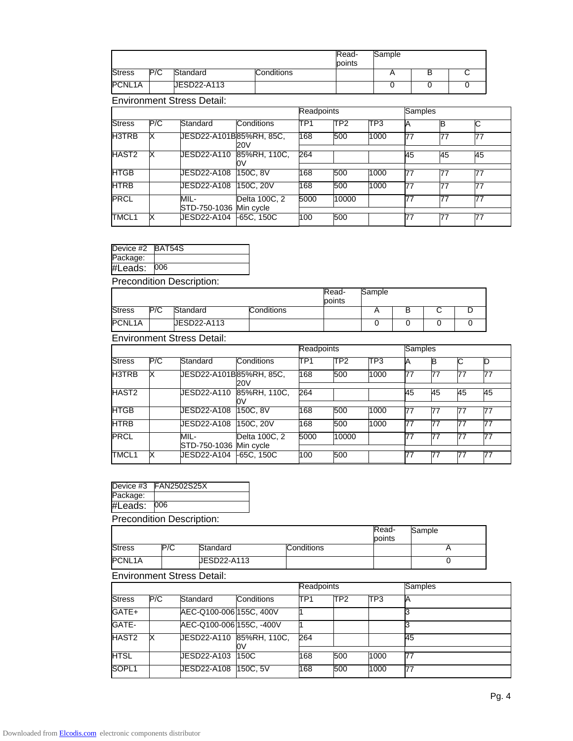|               |     |                                   |                    |            | Read-<br>points | Sample      |         |    |    |  |
|---------------|-----|-----------------------------------|--------------------|------------|-----------------|-------------|---------|----|----|--|
| <b>Stress</b> | P/C | Standard                          | Conditions         |            |                 | A           |         | B  | C  |  |
| PCNL1A        |     | <b>UESD22-A113</b>                |                    |            |                 | $\mathbf 0$ |         | 0  | 0  |  |
|               |     | <b>Environment Stress Detail:</b> |                    |            |                 |             |         |    |    |  |
|               |     |                                   |                    | Readpoints |                 |             | Samples |    |    |  |
| <b>Stress</b> | P/C | Standard                          | Conditions         | TP1        | TP <sub>2</sub> | TP3         | Α       | в  | C  |  |
| H3TRB         | х   | UESD22-A101B85%RH, 85C,           | 20V                | 168        | 500             | 1000        | 77      | 77 | 77 |  |
| HAST2         | X   | UESD22-A110                       | 85%RH, 110C,<br>0V | 264        |                 |             | 45      | 45 | 45 |  |
| <b>HTGB</b>   |     | JESD22-A108                       | 150C.8V            | 168        | 500             | 1000        | 77      | 77 | 77 |  |
| <b>HTRB</b>   |     | JESD22-A108                       | 150C. 20V          | 168        | 500             | 1000        | 77      | 77 | 77 |  |
| <b>PRCL</b>   |     | MIL-<br>STD-750-1036 Min cycle    | Delta 100C, 2      | 5000       | 10000           |             | 77      | 77 | 77 |  |
| TMCL1         | х   | JESD22-A104                       | $-65C, 150C$       | 100        | 500             |             | 77      | 77 | 77 |  |

| Device #2 BAT54S |  |
|------------------|--|

| Package: |     |
|----------|-----|
| #Leads:  | 006 |

| __                  |     | __          |            |                 |        |  |  |
|---------------------|-----|-------------|------------|-----------------|--------|--|--|
| PCNL <sub>1</sub> A |     | JESD22-A113 |            |                 |        |  |  |
| <b>Stress</b>       | P/C | Standard    | Conditions |                 |        |  |  |
|                     |     |             |            | Read-<br>points | Sample |  |  |

Environment Stress Detail:

|               |     |                                |                    | Readpoints      |                 |      | Samples |    |    |    |
|---------------|-----|--------------------------------|--------------------|-----------------|-----------------|------|---------|----|----|----|
| <b>Stress</b> | P/C | Standard                       | Conditions         | TP <sub>1</sub> | TP <sub>2</sub> | TP3  |         | B  | C  | D  |
| H3TRB         | ΙX  | JESD22-A101B85%RH, 85C,        | 20V                | 168             | 500             | 1000 |         | 77 | 77 | 77 |
| HAST2         |     | JESD22-A110                    | 85%RH, 110C.<br>ЮV | 264             |                 |      | 45      | 45 | 45 | 45 |
| <b>HTGB</b>   |     | UESD22-A108                    | 150C, 8V           | 168             | 500             | 1000 | 77      | 77 | 77 | 77 |
| <b>HTRB</b>   |     | JESD22-A108                    | 150C, 20V          | 168             | 500             | 1000 | 77      | 77 | 77 | 77 |
| PRCL          |     | MIL-<br>STD-750-1036 Min cycle | Delta 100C, 2      | 5000            | 10000           |      |         | 77 | 77 | 77 |
| TMCL1         | х   | UESD22-A104                    | -65C, 150C         | 100             | 500             |      |         | 77 | 77 | 77 |
|               |     |                                |                    |                 |                 |      |         |    |    |    |

| #Leads:   | 006                |
|-----------|--------------------|
| Package:  |                    |
| Device #3 | <b>FAN2502S25X</b> |
|           |                    |

Precondition Description:

|        |     |             |            | Read-<br>points | Sample  |
|--------|-----|-------------|------------|-----------------|---------|
| Stress | P/C | Standard    | Conditions |                 | $\cdot$ |
| PCNL1A |     | UESD22-A113 |            |                 |         |

|        |     |                          |            | <b>Readpoints</b> |                 |      | Samples |  |
|--------|-----|--------------------------|------------|-------------------|-----------------|------|---------|--|
| Stress | P/C | Standard                 | Conditions | TP1               | TP <sub>2</sub> | ITP3 |         |  |
| GATE+  |     | AEC-Q100-006 155C, 400V  |            |                   |                 |      |         |  |
| GATE-  |     | AEC-Q100-006 155C, -400V |            |                   |                 |      |         |  |
| HAST2  |     | UESD22-A110 85%RH, 110C, | Oν         | 264               |                 |      | 45      |  |
| HTSL   |     | JESD22-A103              | 150C       | 168               | 500             | 1000 |         |  |
| SOPL1  |     | <b>JESD22-A108</b>       | 150C.5V    | 168               | 500             | 1000 | 77      |  |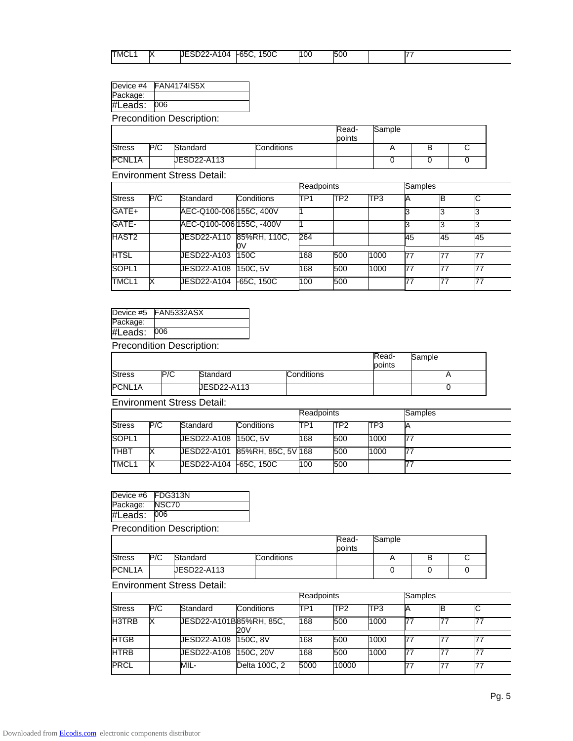| TMCL | lv.<br>M | <b>UESD22-A104</b> | $-65C$<br>150C | 100 | 500 |  |
|------|----------|--------------------|----------------|-----|-----|--|

### Device #4 FAN4174IS5X

Package: #Leads: 006

Precondition Description:

|               |     |             |            | Read-  | Sample |  |
|---------------|-----|-------------|------------|--------|--------|--|
|               |     |             |            | points |        |  |
| <b>Stress</b> | P/C | Standard    | Conditions |        |        |  |
| PCNL1A        |     | UESD22-A113 |            |        |        |  |

Environment Stress Detail:

|               |     |                          |             | <b>Readpoints</b> |                 |      | <b>Samples</b> |    |    |
|---------------|-----|--------------------------|-------------|-------------------|-----------------|------|----------------|----|----|
| <b>Stress</b> | P/C | Standard                 | Conditions  | TP <sub>1</sub>   | TP <sub>2</sub> | TP3  |                |    |    |
| GATE+         |     | AEC-Q100-006 155C, 400V  |             |                   |                 |      |                |    |    |
| GATE-         |     | AEC-Q100-006 155C, -400V |             |                   |                 |      |                |    |    |
| HAST2         |     |                          | υv          | 264               |                 |      | 45             | 45 | 45 |
| <b>HTSL</b>   |     | JESD22-A103              | <b>150C</b> | 168               | 500             | 1000 | 77             | 77 |    |
| SOPL1         |     | <b>JESD22-A108</b>       | 150C, 5V    | 168               | 500             | 1000 | 77             | 77 |    |
| TMCL1         |     | UESD22-A104              | -65C, 150C  | 100               | 500             |      | 77             | 77 |    |

|          | Device #5 FAN5332ASX |
|----------|----------------------|
| Package: |                      |
| #Leads:  | 006                  |

Precondition Description:

|               |     |             |            | Read-<br>points | Sample |
|---------------|-----|-------------|------------|-----------------|--------|
| <b>Stress</b> | P/C | Standard    | Conditions |                 |        |
| PCNL1A        |     | JESD22-A113 |            |                 |        |

Environment Stress Detail:

|                   |     |                      |                                | <b>Readpoints</b> |                 |      | Samples |
|-------------------|-----|----------------------|--------------------------------|-------------------|-----------------|------|---------|
| <b>Stress</b>     | P/C | Standard             | Conditions                     | ITP1              | TP <sub>2</sub> | ITP3 |         |
| SOPL <sub>1</sub> |     | UESD22-A108 150C, 5V |                                | 168               | 500             | 1000 |         |
| <b>THBT</b>       |     |                      | UESD22-A101 85%RH, 85C, 5V 168 |                   | 500             | 1000 |         |
| TMCL1             | IX  | UESD22-A104          | -65C, 150C                     | 100               | 500             |      |         |

| 006               |
|-------------------|
| NSC70             |
| Device #6 FDG313N |
|                   |

Precondition Description: Readpoints Sample Stress P/C Standard Conditions T A B C PCNL1A JESD22-A113 | 0 0 0 0

|               |     |                         |               | <b>Readpoints</b> |                 |      | <b>Samples</b> |  |
|---------------|-----|-------------------------|---------------|-------------------|-----------------|------|----------------|--|
| <b>Stress</b> | P/C | Standard                | Conditions    | ITP1              | TP <sub>2</sub> | ITP3 |                |  |
| H3TRB         |     | JESD22-A101B85%RH, 85C, | 20V           | 168               | 500             | 1000 |                |  |
| <b>HTGB</b>   |     | JESD22-A108 150C, 8V    |               | 168               | 500             | 1000 |                |  |
| HTRB          |     | JESD22-A108             | 150C, 20V     | 168               | 500             | 1000 |                |  |
| <b>PRCL</b>   |     | MIL-                    | Delta 100C, 2 | 5000              | 10000           |      |                |  |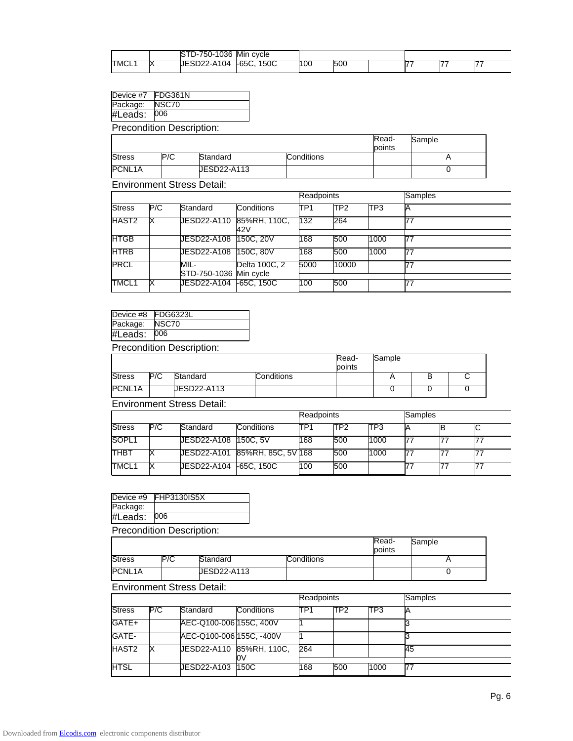|      |              | 036<br>-UC<br>.<br>. . | Min<br>cvcle      |     |     |  |  |
|------|--------------|------------------------|-------------------|-----|-----|--|--|
| TMCL | n.<br>$\sim$ | 04<br>ノームイ<br>ب ے ب    | 150C<br>-<br>-650 | 100 | 500 |  |  |

| Device $#7$         | FDG361N |                                   |                     |            |       |                 |         |
|---------------------|---------|-----------------------------------|---------------------|------------|-------|-----------------|---------|
| Package:            | NSC70   |                                   |                     |            |       |                 |         |
| #Leads:             | 006     |                                   |                     |            |       |                 |         |
|                     |         | <b>Precondition Description:</b>  |                     |            |       |                 |         |
|                     |         |                                   |                     |            |       | Read-<br>points | Sample  |
| <b>Stress</b>       | P/C     | Standard                          |                     | Conditions |       |                 | A       |
| PCNL <sub>1</sub> A |         | JESD22-A113                       |                     |            |       |                 | 0       |
|                     |         | <b>Environment Stress Detail:</b> |                     |            |       |                 |         |
|                     |         |                                   |                     | Readpoints |       |                 | Samples |
| <b>Stress</b>       | P/C     | Standard                          | Conditions          | TP1        | TP2   | TP3             | А       |
| HAST2               | х       | JESD22-A110                       | 85%RH, 110C,<br>42V | 132        | 264   |                 | 77      |
| <b>HTGB</b>         |         | JESD22-A108                       | 150C, 20V           | 168        | 500   | 1000            | 77      |
| <b>HTRB</b>         |         | JESD22-A108                       | 150C, 80V           | 168        | 500   | 1000            | 77      |
| <b>PRCL</b>         |         | MIL-<br>STD-750-1036 Min cycle    | Delta 100C, 2       | 5000       | 10000 |                 | 77      |
| TMCL1               | х       | JESD22-A104                       | $-65C, 150C$        | 100        | 500   |                 | 77      |

| Package:       | NSC70 |
|----------------|-------|
| #Leads:<br>006 |       |

|               |     |             |            | Read-<br>points | Sample                   |   |  |
|---------------|-----|-------------|------------|-----------------|--------------------------|---|--|
| <b>Stress</b> | P/C | Standard    | Conditions |                 | $\overline{\phantom{a}}$ | D |  |
| PCNL1A        |     | JESD22-A113 |            |                 |                          |   |  |

Environment Stress Detail:

|               |     |                      |                               | <b>Readpoints</b> |     |      | Samples |    |
|---------------|-----|----------------------|-------------------------------|-------------------|-----|------|---------|----|
| <b>Stress</b> | P/C | Standard             | Conditions                    | ITP <sub>1</sub>  | TP2 | TP3  |         |    |
| SOPL1         |     | JESD22-A108 150C, 5V |                               | 168               | 500 | 1000 |         |    |
| <b>THBT</b>   |     |                      | UESD22-A101 85%RH, 85C, 5V168 |                   | 500 | 1000 |         |    |
| TMCL1         |     | <b>JESD22-A104</b>   | -65C, 150C                    | 100               | 500 |      |         | 77 |

| Device #9                        | <b>FHP3130IS5X</b> |  |  |  |  |
|----------------------------------|--------------------|--|--|--|--|
| Package:                         |                    |  |  |  |  |
| #Leads:                          | 006                |  |  |  |  |
| <b>Precondition Description:</b> |                    |  |  |  |  |

|               |     |             |            | Read-<br>points | Sample |
|---------------|-----|-------------|------------|-----------------|--------|
| <b>Stress</b> | P/C | Standard    | Conditions |                 |        |
| PCNL1A        |     | JESD22-A113 |            |                 |        |

|               |     |                          |            | <b>Readpoints</b> |                 |                 | Samples |
|---------------|-----|--------------------------|------------|-------------------|-----------------|-----------------|---------|
| <b>Stress</b> | P/C | Standard                 | Conditions | ITP <sub>1</sub>  | TP <sub>2</sub> | TP <sub>3</sub> |         |
| GATE+         |     | AEC-Q100-006 155C, 400V  |            |                   |                 |                 |         |
| GATE-         |     | AEC-Q100-006 155C, -400V |            |                   |                 |                 |         |
| HAST2         |     | UESD22-A110 85%RH, 110C, | ω          | 264               |                 |                 | I45     |
| <b>HTSL</b>   |     | UESD22-A103              | 150C       | 168               | 500             | 1000            |         |
|               |     |                          |            |                   |                 |                 |         |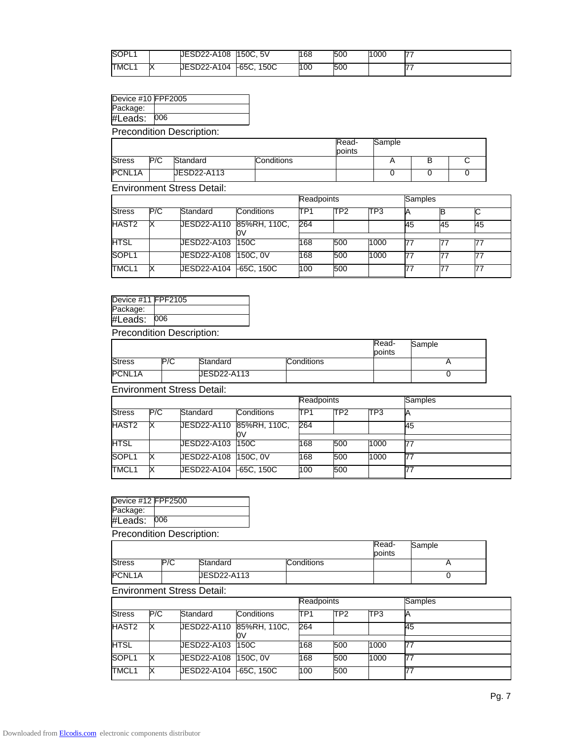| SOPL1             |        | <b>JESD22-A108</b> | 150C.5V       | 168 | 500 | 1000 | —— |
|-------------------|--------|--------------------|---------------|-----|-----|------|----|
| TMCL <sub>1</sub> | N<br>⌒ | <b>JESD22-A104</b> | 150C<br>-65C. | 100 | 500 |      |    |

| Device #10 FPF2005 |  |
|--------------------|--|
|--------------------|--|

| Package: |     |
|----------|-----|
| #Leads:  | 006 |

|               |     |             |            | Read-<br>points | Sample |  |
|---------------|-----|-------------|------------|-----------------|--------|--|
| <b>Stress</b> | P/C | Standard    | Conditions |                 |        |  |
| PCNL1A        |     | UESD22-A113 |            |                 |        |  |

Environment Stress Detail:

|               |     |                    |                    | Readpoints       |                 |      | <b>Samples</b> |    |    |
|---------------|-----|--------------------|--------------------|------------------|-----------------|------|----------------|----|----|
| <b>Stress</b> | P/C | Standard           | Conditions         | ITP <sub>1</sub> | TP <sub>2</sub> | TP3  |                |    | ◡  |
| HAST2         | х   | <b>JESD22-A110</b> | 85%RH, 110C,<br>O٧ | 264              |                 |      | 45             | 45 | 45 |
| <b>HTSL</b>   |     | <b>JESD22-A103</b> | 150C               | 168              | 500             | 1000 |                |    | 77 |
| SOPL1         |     | <b>JESD22-A108</b> | 150C. 0V           | 168              | 500             | 1000 |                |    |    |
| TMCL1         |     | <b>JESD22-A104</b> | $-65C.150C$        | 100              | 500             |      |                | 77 | 77 |

| Device #11 FPF2105 |  |
|--------------------|--|
| Package:           |  |

#Leads: 006

Precondition Description:

|               |     |             |            | Read-<br>points | Sample |
|---------------|-----|-------------|------------|-----------------|--------|
| <b>Stress</b> | P/C | Standard    | Conditions |                 |        |
| PCNL1A        |     | JESD22-A113 |            |                 |        |

Environment Stress Detail:

|                   |     |                       |                                | <b>Readpoints</b> |                 |      | <b>Samples</b> |
|-------------------|-----|-----------------------|--------------------------------|-------------------|-----------------|------|----------------|
| <b>Stress</b>     | P/C | Standard              | <b>Conditions</b>              | TP1               | TP <sub>2</sub> | TP3  |                |
| HAST2             | ΙX  |                       | UESD22-A110 85%RH, 110C,<br>0V | 264               |                 |      | 45             |
| <b>HTSL</b>       |     | UESD22-A103 150C      |                                | 168               | 500             | 1000 |                |
| SOPL <sub>1</sub> | х   | JESD22-A108  150C, 0V |                                | 168               | 500             | 1000 |                |
| TMCL1             | Х   | <b>JESD22-A104</b>    | $-65C.150C$                    | 100               | 500             |      |                |

| Device #12 FPF2500 |     |
|--------------------|-----|
| Package:           |     |
| #Leads:            | 006 |
|                    |     |

Precondition Description:

|                                   |     |             |                   | Read-<br>points | Sample |
|-----------------------------------|-----|-------------|-------------------|-----------------|--------|
| <b>Stress</b>                     | P/C | Standard    | <b>Conditions</b> |                 |        |
| PCNL1A                            |     | JESD22-A113 |                   |                 |        |
| <b>Environment Stress Detail:</b> |     |             |                   |                 |        |

Readpoints Samples Stress P/C Standard Conditions TP1 TP2 TP3 A HAST2 X JESD22-A110 85%RH, 110C, 0V 264 1 45 HTSL JESD22-A103 150C 168 500 1000 77 SOPL1 X JESD22-A108 150C, 0V 168 500 1000 77 TMCL1 X JESD22-A104 -65C, 150C 100 500 77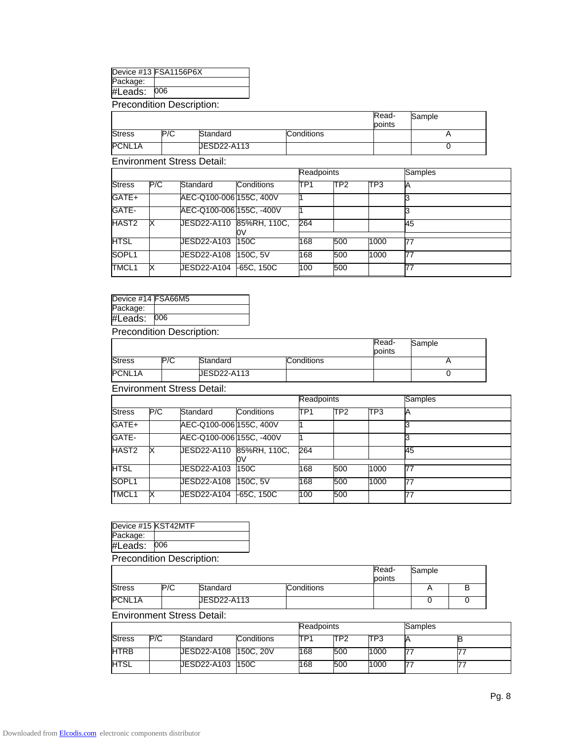| Device #13 FSA1156P6X |
|-----------------------|
|                       |

Package:

#Leads: 006

Precondition Description:

|                     |     |             |            | Read-<br>points | Sample |
|---------------------|-----|-------------|------------|-----------------|--------|
| <b>Stress</b>       | P/C | Standard    | Conditions |                 |        |
| PCNL <sub>1</sub> A |     | JESD22-A113 |            |                 |        |

Environment Stress Detail:

|               |     |                          |            |      | <b>Readpoints</b> |                 | <b>Samples</b> |
|---------------|-----|--------------------------|------------|------|-------------------|-----------------|----------------|
| <b>Stress</b> | P/C | Standard                 | Conditions | ITP1 | TP <sub>2</sub>   | TP <sub>3</sub> |                |
| GATE+         |     | AEC-Q100-006 155C, 400V  |            |      |                   |                 |                |
| GATE-         |     | AEC-Q100-006 155C, -400V |            |      |                   |                 |                |
| HAST2         |     | UESD22-A110 85%RH, 110C. | ЮV         | 264  |                   |                 | 45             |
|               |     |                          |            |      |                   |                 |                |
| <b>HTSL</b>   |     | UESD22-A103              | 150C       | 168  | 500               | 1000            | 77             |
| SOPL1         |     | JESD22-A108              | 150C.5V    | 168  | 500               | 1000            | 77             |
| TMCL1         |     | <b>JESD22-A104</b>       | -65C, 150C | 100  | 500               |                 | 77             |

Device #14 FSA66M5

Package: #Leads: 006

Precondition Description:

|                     |     |             |            | Read-<br>points | Sample |
|---------------------|-----|-------------|------------|-----------------|--------|
| <b>Stress</b>       | P/C | Standard    | Conditions |                 |        |
| PCNL <sub>1</sub> A |     | JESD22-A113 |            |                 |        |

Environment Stress Detail:

|               |     |                          | Readpoints         |     |                 | <b>Samples</b> |    |
|---------------|-----|--------------------------|--------------------|-----|-----------------|----------------|----|
| <b>Stress</b> | P/C | Standard                 | Conditions         | TP1 | TP <sub>2</sub> | TP3            |    |
| GATE+         |     | AEC-Q100-006 155C, 400V  |                    |     |                 |                |    |
| GATE-         |     | AEC-Q100-006 155C, -400V |                    |     |                 |                |    |
| HAST2         |     | JESD22-A110              | 85%RH, 110C,<br>ЮV | 264 |                 |                | 45 |
| <b>HTSL</b>   |     | UESD22-A103              | 150C               | 168 | 500             | 1000           | 77 |
| SOPL1         |     | JESD22-A108              | 150C.5V            | 168 | 500             | 1000           | 77 |
| TMCL1         |     | JESD22-A104              | -65C, 150C         | 100 | 500             |                |    |

| Device #15 KST42MTF              |     |  |  |  |  |
|----------------------------------|-----|--|--|--|--|
| Package:                         |     |  |  |  |  |
| #Leads:                          | 006 |  |  |  |  |
| <b>Precondition Description:</b> |     |  |  |  |  |

|               |     |             |                   | Read-<br>points | Sample |  |  |  |
|---------------|-----|-------------|-------------------|-----------------|--------|--|--|--|
| <b>Stress</b> | P/C | Standard    | <b>Conditions</b> |                 |        |  |  |  |
| PCNL1A        |     | JESD22-A113 |                   |                 |        |  |  |  |

|               |     |                         |                   | Readpoints |                 |      | Samples |  |
|---------------|-----|-------------------------|-------------------|------------|-----------------|------|---------|--|
| <b>Stress</b> | P/C | Standard                | <b>Conditions</b> | TP1        | TP <sub>2</sub> | TP3  |         |  |
| HTRB          |     | JESD22-A108   150C, 20V |                   | 168        | 500             | 1000 |         |  |
| HTSL          |     | JESD22-A103  150C       |                   | 168        | 500             | 1000 |         |  |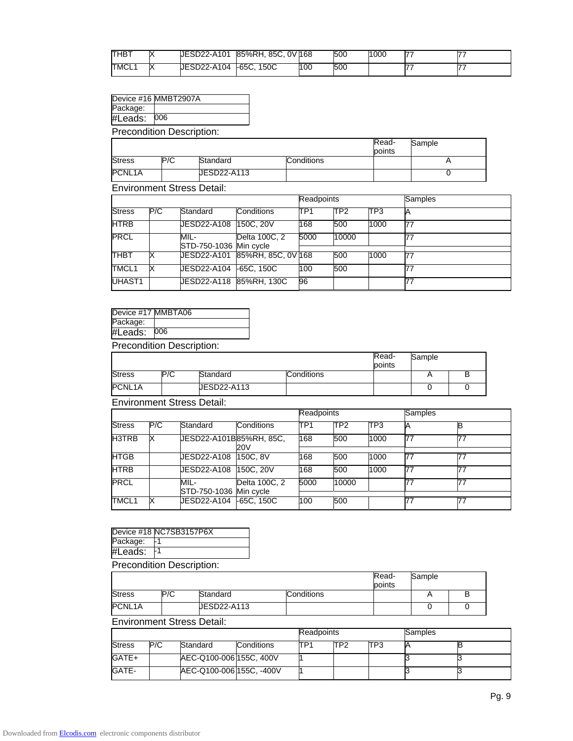| ПНВ⊤ | ∽       | <b>JESD22-A101</b> | 85%RH, 85C, 0V1168 |     | 500 | 1000 |  |
|------|---------|--------------------|--------------------|-----|-----|------|--|
| TMCL | IV<br>᠕ | JESD22-A104        | 150C<br>$-65C.$    | 100 | 500 |      |  |

|  | Device #16 MMBT2907A |
|--|----------------------|
|--|----------------------|

| Package: |     |
|----------|-----|
| #Leads:  | 006 |

|                     |     |             |            | Read-  | Sample |
|---------------------|-----|-------------|------------|--------|--------|
|                     |     |             |            | points |        |
| <b>Stress</b>       | P/C | Standard    | Conditions |        |        |
| PCNL <sub>1</sub> A |     | UESD22-A113 |            |        |        |

Environment Stress Detail:

|               |     |                                |                                | <b>Readpoints</b> |                 |      | <b>Samples</b> |
|---------------|-----|--------------------------------|--------------------------------|-------------------|-----------------|------|----------------|
| <b>Stress</b> | P/C | Standard                       | <b>Conditions</b>              | TP <sub>1</sub>   | TP <sub>2</sub> | TP3  |                |
| <b>HTRB</b>   |     | <b>JESD22-A108</b>             | 150C, 20V                      | 168               | 500             | 1000 | 77             |
| PRCL          |     | MIL-<br>STD-750-1036 Min cycle | Delta 100C, 2                  | 5000              | 10000           |      |                |
| <b>THBT</b>   |     |                                | UESD22-A101 85%RH, 85C, 0V 168 |                   | 500             | 1000 |                |
| TMCL1         |     |                                |                                | 100               | 500             |      |                |
| UHAST1        |     | JESD22-A118 85%RH, 130C        |                                | 96                |                 |      |                |

| Device #17 MMBTA06 |     |
|--------------------|-----|
| Package:           |     |
| #Leads:            | 006 |

Precondition Description:

|               |     |             |            | Read-<br>points | Sample |  |
|---------------|-----|-------------|------------|-----------------|--------|--|
| <b>Stress</b> | P/C | Standard    | Conditions |                 |        |  |
| PCNL1A        |     | JESD22-A113 |            |                 |        |  |

Environment Stress Detail:

|               |     |                                |               | <b>Readpoints</b> |                 |      | <b>Samples</b> |    |
|---------------|-----|--------------------------------|---------------|-------------------|-----------------|------|----------------|----|
| <b>Stress</b> | P/C | Standard                       | Conditions    | ITP <sub>1</sub>  | TP <sub>2</sub> | TP3  |                |    |
| <b>H3TRB</b>  | IX  | UESD22-A101B85%RH, 85C,        | 20V           | 168               | 500             | 1000 | 77             |    |
| <b>HTGB</b>   |     | JESD22-A108                    | 150C, 8V      | 168               | 500             | 1000 | 77             | 77 |
| <b>HTRB</b>   |     | <b>JESD22-A108</b>             | 150C, 20V     | 168               | 500             | 1000 | 77             | 77 |
| PRCL          |     | MIL-<br>STD-750-1036 Min cycle | Delta 100C, 2 | 5000              | 10000           |      |                |    |
| TMCL1         | ΙX  | UESD22-A104                    | $-65C.150C$   | 100               | 500             |      |                | 77 |

|          | Device #18 NC7SB3157P6X |
|----------|-------------------------|
| Package: |                         |
| #Leads:  |                         |

Precondition Description:

|               |     |             |            | Read-<br>points | Sample |  |
|---------------|-----|-------------|------------|-----------------|--------|--|
| <b>Stress</b> | P/C | Standard    | Conditions |                 |        |  |
| PCNL1A        |     | JESD22-A113 |            |                 |        |  |

|               |     |                          |                   | Readpoints |     |     | lSamples |  |  |
|---------------|-----|--------------------------|-------------------|------------|-----|-----|----------|--|--|
| <b>Stress</b> | P/C | Standard                 | <b>Conditions</b> | TP1        | TP2 | TP3 |          |  |  |
| GATE+         |     | AEC-Q100-006 155C, 400V  |                   |            |     |     |          |  |  |
| GATE-         |     | AEC-Q100-006 155C, -400V |                   |            |     |     |          |  |  |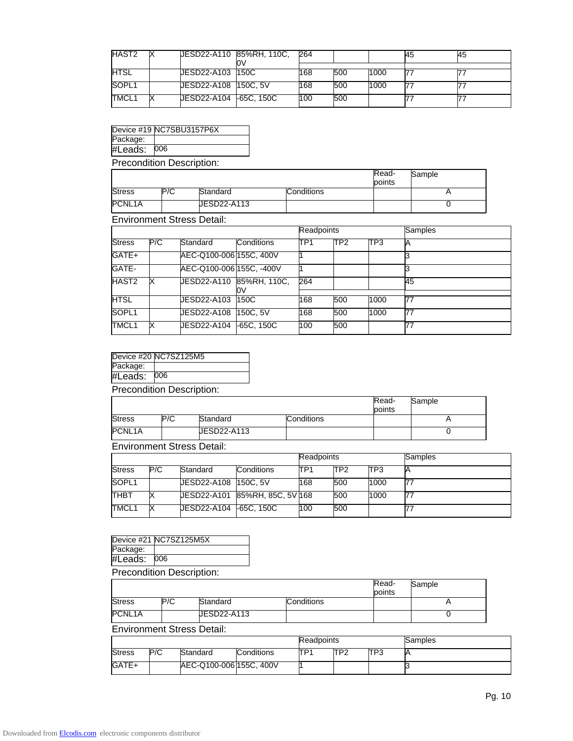| HAST2       | JESD22-A110 85%RH, 110C, | 264 |     |      | 45 | 45 |
|-------------|--------------------------|-----|-----|------|----|----|
| <b>HTSL</b> | JESD22-A103 150C         | 168 | 500 | 1000 |    |    |
| SOPL1       | UESD22-A108 150C, 5V     | 168 | 500 | 1000 |    |    |
| TMCL1       |                          | 100 | 500 |      |    |    |

|                                  | Device #19 NC7SBU3157P6X |  |  |  |  |  |
|----------------------------------|--------------------------|--|--|--|--|--|
| Package:                         |                          |  |  |  |  |  |
| #Leads: 006                      |                          |  |  |  |  |  |
| <b>Precondition Description:</b> |                          |  |  |  |  |  |

|               |     |             |            | Read-<br>points | Sample |
|---------------|-----|-------------|------------|-----------------|--------|
| <b>Stress</b> | P/C | Standard    | Conditions |                 |        |
| PCNL1A        |     | UESD22-A113 |            |                 |        |

Environment Stress Detail:

|               |     |                          |            | Readpoints |                 |      | Samples |
|---------------|-----|--------------------------|------------|------------|-----------------|------|---------|
| <b>Stress</b> | P/C | Standard                 | Conditions | ITP1       | TP <sub>2</sub> | TP3  | A       |
| GATE+         |     | AEC-Q100-006 155C, 400V  |            |            |                 |      |         |
| GATE-         |     | AEC-Q100-006 155C, -400V |            |            |                 |      |         |
| HAST2         |     | UESD22-A110 85%RH, 110C, | ΟV         | 264        |                 |      | 45      |
|               |     |                          |            |            |                 |      |         |
| <b>HTSL</b>   |     | JESD22-A103              | 150C       | 168        | 500             | 1000 | 77      |
| SOPL1         |     | <b>UESD22-A108</b>       | 150C.5V    | 168        | 500             | 1000 | 77      |
| TMCL1         |     | JESD22-A104              | F65C, 150C | 100        | 500             |      | 77      |

| Dessex dition Desseintiser |                       |  |  |  |  |  |
|----------------------------|-----------------------|--|--|--|--|--|
| #Leads:                    | 006                   |  |  |  |  |  |
| Package:                   |                       |  |  |  |  |  |
|                            | Device #20 NC7SZ125M5 |  |  |  |  |  |
|                            |                       |  |  |  |  |  |

Precondition Description:

|                     |     |                    |            | Read-<br>points | Sample |
|---------------------|-----|--------------------|------------|-----------------|--------|
| <b>Stress</b>       | P/C | Standard           | Conditions |                 |        |
| PCNL <sub>1</sub> A |     | <b>JESD22-A113</b> |            |                 |        |

Environment Stress Detail:

|               |     |                      |                               | Readpoints |     |      | Samples |
|---------------|-----|----------------------|-------------------------------|------------|-----|------|---------|
| <b>Stress</b> | P/C | Standard             | <b>Conditions</b>             | TP1        | TP2 | TP3  |         |
| SOPL1         |     | UESD22-A108 150C, 5V |                               | 168        | 500 | 1000 |         |
| тнвт          |     |                      | UESD22-A101 85%RH, 85C, 5V168 |            | 500 | 1000 |         |
| TMCL1         |     | <b>JESD22-A104</b>   | -65C. 150C                    | 100        | 500 |      |         |

Device #21 NC7SZ125M5X Package: #Leads: 006 Precondition Description:

|               |     |             |            | Read-  | Sample |
|---------------|-----|-------------|------------|--------|--------|
|               |     |             |            | points |        |
| <b>Stress</b> | P/C | Standard    | Conditions |        |        |
| PCNL1A        |     | JESD22-A113 |            |        |        |

|               |     |                         | Readpoints |     |     | Samples |  |
|---------------|-----|-------------------------|------------|-----|-----|---------|--|
| <b>Stress</b> | P/C | Standard                | Conditions | TP1 | TP2 | TP3     |  |
| GATE+         |     | AEC-Q100-006 155C, 400V |            |     |     |         |  |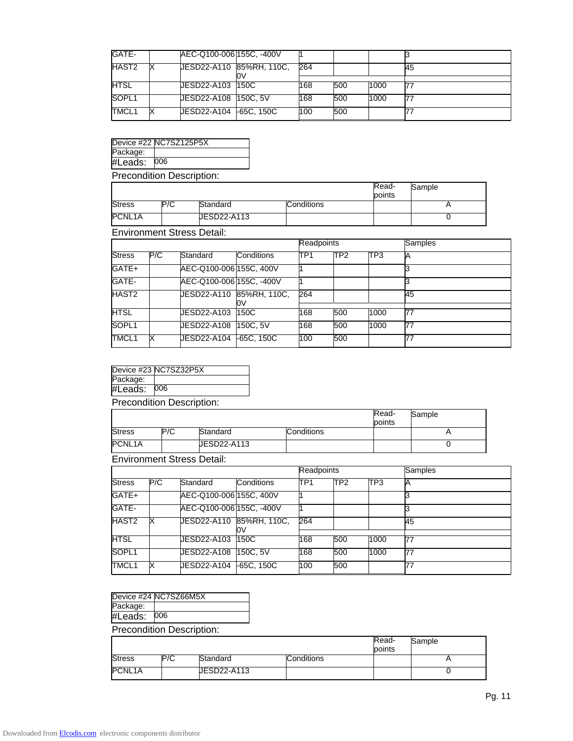| GATE-       | AEC-Q100-006 155C, -400V |     |     |      |    |
|-------------|--------------------------|-----|-----|------|----|
| HAST2       | UESD22-A110 85%RH, 110C, | 264 |     |      | 45 |
| <b>HTSL</b> | UESD22-A103 150C         | 168 | 500 | 1000 |    |
| SOPL1       | UESD22-A108 150C, 5V     | 168 | 500 | 1000 |    |
| TMCL1       |                          | 100 | 500 |      |    |

|                           | Device #22 NC7SZ125P5X |  |  |  |  |  |
|---------------------------|------------------------|--|--|--|--|--|
| Package:                  |                        |  |  |  |  |  |
| #Leads:                   | 006                    |  |  |  |  |  |
| Precondition Description: |                        |  |  |  |  |  |

|                     |     |             |            | Read-<br>points | Sample |
|---------------------|-----|-------------|------------|-----------------|--------|
| <b>Stress</b>       | P/C | Standard    | Conditions |                 |        |
| PCNL <sub>1</sub> A |     | JESD22-A113 |            |                 |        |

Environment Stress Detail:

|               |     |                          |                                | <b>Readpoints</b> |                 |      | Samples |  |
|---------------|-----|--------------------------|--------------------------------|-------------------|-----------------|------|---------|--|
| <b>Stress</b> | P/C | Standard                 | Conditions                     | ITP <sub>1</sub>  | TP <sub>2</sub> | TP3  |         |  |
| GATE+         |     | AEC-Q100-006 155C, 400V  |                                |                   |                 |      |         |  |
| GATE-         |     | AEC-Q100-006 155C, -400V |                                |                   |                 |      |         |  |
| HAST2         |     |                          | JESD22-A110 85%RH, 110C,<br>ЮV | 264               |                 |      | 45      |  |
| HTSL          |     | JESD22-A103  150C        |                                | 168               | 500             | 1000 | 77      |  |
| SOPL1         |     | <b>JESD22-A108</b>       | 150C.5V                        | 168               | 500             | 1000 | 77      |  |
| TMCL1         |     | JESD22-A104              | $-65C, 150C$                   | 100               | 500             |      |         |  |

|          | Device #23 NC7SZ32P5X |
|----------|-----------------------|
| Package: |                       |
| #Leads:  | 006                   |

Precondition Description:

|               |     |             |            | Read-<br>points | Sample |
|---------------|-----|-------------|------------|-----------------|--------|
| <b>Stress</b> | P/C | Standard    | Conditions |                 |        |
| PCNL1A        |     | JESD22-A113 |            |                 |        |

Environment Stress Detail:

|               |     |                          |              |                  | Readpoints      |                 | Samples |
|---------------|-----|--------------------------|--------------|------------------|-----------------|-----------------|---------|
| <b>Stress</b> | P/C | Standard                 | Conditions   | ITP <sub>1</sub> | TP <sub>2</sub> | TP <sub>3</sub> |         |
| GATE+         |     | AEC-Q100-006 155C, 400V  |              |                  |                 |                 |         |
| GATE-         |     | AEC-Q100-006 155C, -400V |              |                  |                 |                 |         |
| HAST2         |     | JESD22-A110 85%RH, 110C, | ЮV           | 264              |                 |                 | 45      |
|               |     |                          |              |                  |                 |                 |         |
| <b>HTSL</b>   |     | JESD22-A103              | 150C         | 168              | 500             | 1000            | 77      |
| SOPL1         |     | JESD22-A108              | 150C.5V      | 168              | 500             | 1000            | 77      |
| TMCL1         |     | <b>UESD22-A104</b>       | $-65C, 150C$ | 100              | 500             |                 | 77      |

Device #24 NC7SZ66M5X

| Package: |     |  |
|----------|-----|--|
| #Leads:  | )06 |  |
|          |     |  |

Precondition Description:

|                     |     |             |                   | Read-<br>points | Sample |
|---------------------|-----|-------------|-------------------|-----------------|--------|
| <b>Stress</b>       | P/C | Standard    | <b>Conditions</b> |                 |        |
| PCNL <sub>1</sub> A |     | JESD22-A113 |                   |                 |        |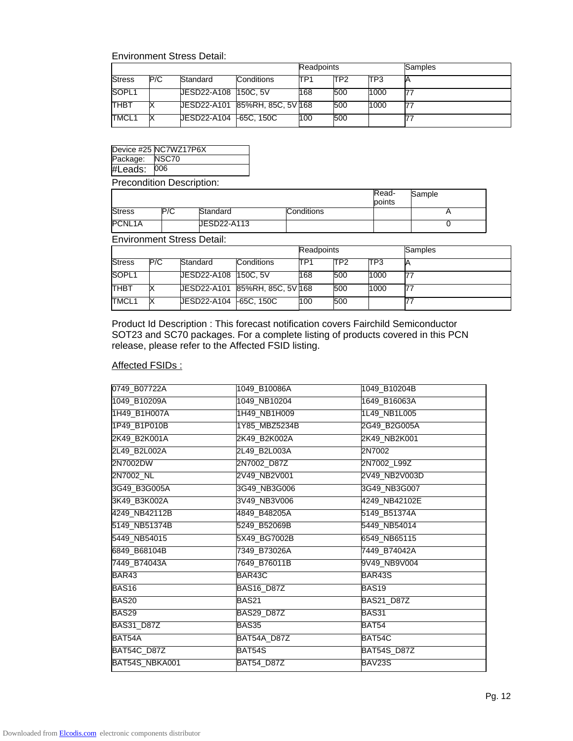## Environment Stress Detail:

|               |     |                      | Readpoints                    |     |                 | Samples |  |
|---------------|-----|----------------------|-------------------------------|-----|-----------------|---------|--|
| <b>Stress</b> | P/C | Standard             | Conditions                    | TP1 | TP <sub>2</sub> | ITP3    |  |
| SOPL1         |     | UESD22-A108 150C, 5V |                               | 168 | 500             | 1000    |  |
| <b>THBT</b>   |     |                      | UESD22-A101 85%RH, 85C, 5V168 |     | 500             | 1000    |  |
| TMCL1         |     |                      |                               | 100 | 500             |         |  |

|                          | Device #25 NC7WZ17P6X |  |  |  |  |
|--------------------------|-----------------------|--|--|--|--|
| Package: NSC70           |                       |  |  |  |  |
| #Leads: 006              |                       |  |  |  |  |
| Dessandition Desseintian |                       |  |  |  |  |

Precondition Description:

|               |     |                    |            | Read-<br>points | Sample |
|---------------|-----|--------------------|------------|-----------------|--------|
| <b>Stress</b> | P/C | Standard           | Conditions |                 |        |
| PCNL1A        |     | <b>JESD22-A113</b> |            |                 |        |

Environment Stress Detail:

|                   |     |                     |                                | <b>Readpoints</b> |                 |      | Samples |
|-------------------|-----|---------------------|--------------------------------|-------------------|-----------------|------|---------|
| <b>Stress</b>     | P/C | Standard            | <b>Conditions</b>              | ITP1              | TP <sub>2</sub> | TP3  |         |
| SOPL <sub>1</sub> |     | UESD22-A108 150C.5V |                                | 168               | 500             | 1000 | 77      |
| <b>THBT</b>       |     |                     | UESD22-A101 85%RH, 85C, 5V 168 |                   | 500             | 1000 | 77      |
| TMCL1             |     |                     |                                | 100               | 500             |      |         |

Product Id Description : This forecast notification covers Fairchild Semiconductor SOT23 and SC70 packages. For a complete listing of products covered in this PCN release, please refer to the Affected FSID listing.

## Affected FSIDs :

| 0749_B07722A      | 1049 B10086A      | 1049 B10204B       |
|-------------------|-------------------|--------------------|
| 1049_B10209A      | 1049_NB10204      | 1649_B16063A       |
| 1H49_B1H007A      | 1H49_NB1H009      | 1L49_NB1L005       |
| 1P49_B1P010B      | 1Y85_MBZ5234B     | 2G49_B2G005A       |
| 2K49 B2K001A      | 2K49 B2K002A      | 2K49_NB2K001       |
| 2L49 B2L002A      | 2L49 B2L003A      | 2N7002             |
| 2N7002DW          | 2N7002_D87Z       | 2N7002_L99Z        |
| 2N7002_NL         | 2V49_NB2V001      | 2V49_NB2V003D      |
| 3G49_B3G005A      | 3G49_NB3G006      | 3G49_NB3G007       |
| 3K49 B3K002A      | 3V49_NB3V006      | 4249_NB42102E      |
| 4249_NB42112B     | 4849_B48205A      | 5149 B51374A       |
| 5149_NB51374B     | 5249_B52069B      | 5449_NB54014       |
| 5449_NB54015      | 5X49_BG7002B      | 6549_NB65115       |
| 6849 B68104B      | 7349 B73026A      | 7449 B74042A       |
| 7449_B74043A      | 7649_B76011B      | 9V49_NB9V004       |
| BAR43             | BAR43C            | BAR43S             |
| BAS16             | <b>BAS16_D87Z</b> | BAS19              |
| BAS20             | BAS21             | <b>BAS21 D87Z</b>  |
| BAS29             | <b>BAS29 D87Z</b> | BAS31              |
| <b>BAS31_D87Z</b> | BAS35             | BAT54              |
| BAT54A            | BAT54A D87Z       | BAT54C             |
| BAT54C_D87Z       | BAT54S            | <b>BAT54S_D87Z</b> |
| BAT54S_NBKA001    | BAT54_D87Z        | BAV23S             |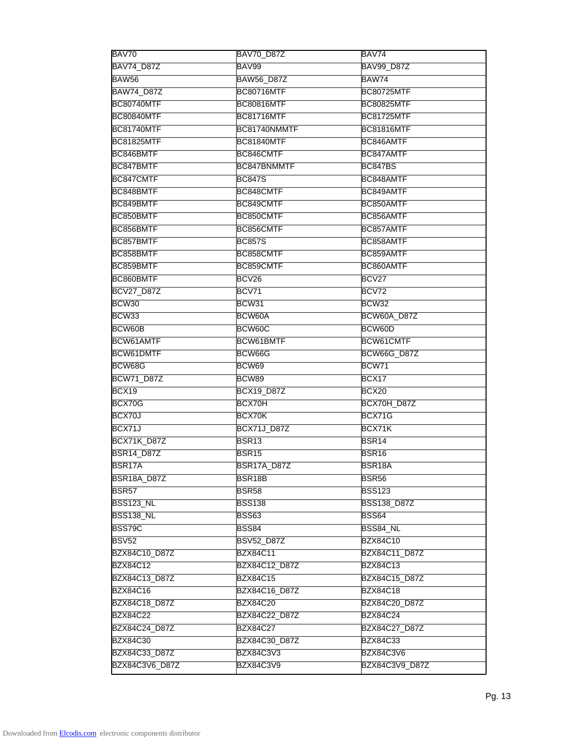| BAV70              | <b>BAV70 D87Z</b>  | BAV74               |
|--------------------|--------------------|---------------------|
| <b>BAV74_D87Z</b>  | BAV99              | <b>BAV99 D87Z</b>   |
| BAW56              | <b>BAW56 D87Z</b>  | BAW74               |
| <b>BAW74_D87Z</b>  | <b>BC80716MTF</b>  | <b>BC80725MTF</b>   |
| <b>BC80740MTF</b>  | <b>BC80816MTF</b>  | <b>BC80825MTF</b>   |
| <b>BC80840MTF</b>  | <b>BC81716MTF</b>  | <b>BC81725MTF</b>   |
| <b>BC81740MTF</b>  | BC81740NMMTF       | <b>BC81816MTF</b>   |
| <b>BC81825MTF</b>  | BC81840MTF         | BC846AMTF           |
| BC846BMTF          | BC846CMTF          | BC847AMTF           |
| BC847BMTF          | BC847BNMMTF        | <b>BC847BS</b>      |
| BC847CMTF          | <b>BC847S</b>      | BC848AMTF           |
| BC848BMTF          | BC848CMTF          | BC849AMTF           |
| BC849BMTF          | BC849CMTF          | BC850AMTF           |
| BC850BMTF          | BC850CMTF          | BC856AMTF           |
| BC856BMTF          | BC856CMTF          | BC857AMTF           |
| BC857BMTF          | <b>BC857S</b>      | BC858AMTF           |
| BC858BMTF          | BC858CMTF          | BC859AMTF           |
| BC859BMTF          | BC859CMTF          | BC860AMTF           |
| BC860BMTF          | BCV26              | BCV27               |
| <b>BCV27_D87Z</b>  | BCV71              | BCV72               |
| BCW30              | BCW31              | BCW32               |
| BCW33              | BCW60A             | BCW60A_D87Z         |
| BCW60B             | BCW60C             | BCW60D              |
| BCW61AMTF          | BCW61BMTF          | BCW61CMTF           |
| BCW61DMTF          | BCW66G             | BCW66G_D87Z         |
| BCW68G             | BCW69              | BCW71               |
| <b>BCW71_D87Z</b>  | BCW89              | BCX17               |
| BCX19              | <b>BCX19_D87Z</b>  | BCX20               |
| BCX70G             | BCX70H             | BCX70H_D87Z         |
| BCX70J             | BCX70K             | BCX71G              |
| BCX71J             | <b>BCX71J_D87Z</b> | BCX71K              |
| <b>BCX71K_D87Z</b> | <b>BSR13</b>       | BSR <sub>14</sub>   |
| <b>BSR14_D87Z</b>  | BSR <sub>15</sub>  | BSR <sub>16</sub>   |
| BSR17A             | BSR17A_D87Z        | BSR <sub>18</sub> A |
| <b>BSR18A_D87Z</b> | BSR18B             | <b>BSR56</b>        |
| <b>BSR57</b>       | BSR58              | <b>BSS123</b>       |
| <b>BSS123_NL</b>   | <b>BSS138</b>      | <b>BSS138 D87Z</b>  |
| <b>BSS138_NL</b>   | <b>BSS63</b>       | <b>BSS64</b>        |
| <b>BSS79C</b>      | BSS84              | BSS84 NL            |
| <b>BSV52</b>       | <b>BSV52_D87Z</b>  | <b>BZX84C10</b>     |
| BZX84C10_D87Z      | <b>BZX84C11</b>    | BZX84C11_D87Z       |
| <b>BZX84C12</b>    | BZX84C12_D87Z      | <b>BZX84C13</b>     |
| BZX84C13_D87Z      | <b>BZX84C15</b>    | BZX84C15_D87Z       |
| <b>BZX84C16</b>    | BZX84C16_D87Z      | <b>BZX84C18</b>     |
| BZX84C18_D87Z      | <b>BZX84C20</b>    | BZX84C20_D87Z       |
| <b>BZX84C22</b>    | BZX84C22_D87Z      | <b>BZX84C24</b>     |
| BZX84C24_D87Z      | <b>BZX84C27</b>    | BZX84C27_D87Z       |
| <b>BZX84C30</b>    | BZX84C30_D87Z      | <b>BZX84C33</b>     |
|                    |                    |                     |
| BZX84C33_D87Z      | BZX84C3V3          | <b>BZX84C3V6</b>    |
| BZX84C3V6_D87Z     | BZX84C3V9          | BZX84C3V9_D87Z      |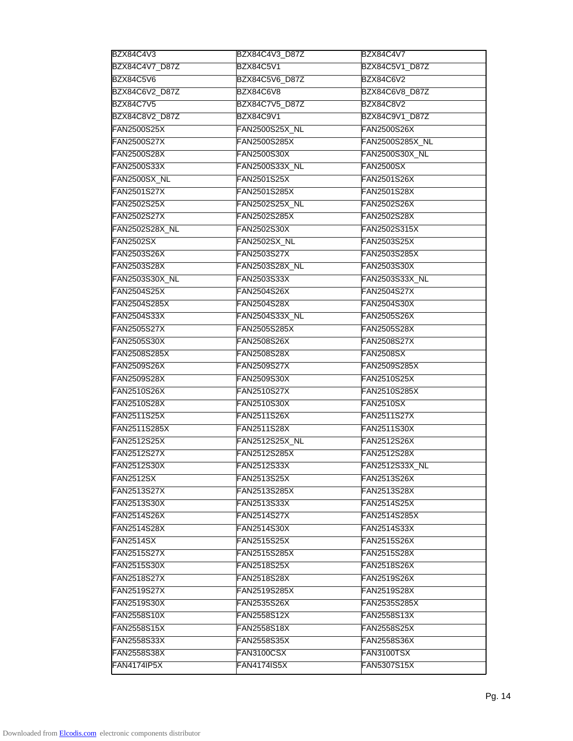| BZX84C4V3             | BZX84C4V3_D87Z        | BZX84C4V7              |
|-----------------------|-----------------------|------------------------|
| BZX84C4V7_D87Z        | <b>BZX84C5V1</b>      | BZX84C5V1_D87Z         |
| <b>BZX84C5V6</b>      | BZX84C5V6_D87Z        | <b>BZX84C6V2</b>       |
| BZX84C6V2_D87Z        | BZX84C6V8             | BZX84C6V8_D87Z         |
| <b>BZX84C7V5</b>      | BZX84C7V5_D87Z        | <b>BZX84C8V2</b>       |
| <b>BZX84C8V2 D87Z</b> | <b>BZX84C9V1</b>      | BZX84C9V1_D87Z         |
| <b>FAN2500S25X</b>    | <b>FAN2500S25X_NL</b> | <b>FAN2500S26X</b>     |
| <b>FAN2500S27X</b>    | FAN2500S285X          | <b>FAN2500S285X_NL</b> |
| <b>FAN2500S28X</b>    | <b>FAN2500S30X</b>    | <b>FAN2500S30X_NL</b>  |
| <b>FAN2500S33X</b>    | FAN2500S33X_NL        | <b>FAN2500SX</b>       |
| FAN2500SX_NL          | <b>FAN2501S25X</b>    | <b>FAN2501S26X</b>     |
| <b>FAN2501S27X</b>    | <b>FAN2501S285X</b>   | <b>FAN2501S28X</b>     |
| <b>FAN2502S25X</b>    | <b>FAN2502S25X_NL</b> | <b>FAN2502S26X</b>     |
| <b>FAN2502S27X</b>    | <b>FAN2502S285X</b>   | <b>FAN2502S28X</b>     |
| <b>FAN2502S28X_NL</b> | <b>FAN2502S30X</b>    | <b>FAN2502S315X</b>    |
| <b>FAN2502SX</b>      | FAN2502SX_NL          | <b>FAN2503S25X</b>     |
| <b>FAN2503S26X</b>    | <b>FAN2503S27X</b>    | FAN2503S285X           |
| <b>FAN2503S28X</b>    | <b>FAN2503S28X_NL</b> | <b>FAN2503S30X</b>     |
| <b>FAN2503S30X_NL</b> | <b>FAN2503S33X</b>    | <b>FAN2503S33X_NL</b>  |
| <b>FAN2504S25X</b>    | <b>FAN2504S26X</b>    | <b>FAN2504S27X</b>     |
| <b>FAN2504S285X</b>   | <b>FAN2504S28X</b>    | <b>FAN2504S30X</b>     |
| <b>FAN2504S33X</b>    | <b>FAN2504S33X_NL</b> | <b>FAN2505S26X</b>     |
| <b>FAN2505S27X</b>    | <b>FAN2505S285X</b>   | <b>FAN2505S28X</b>     |
| <b>FAN2505S30X</b>    | <b>FAN2508S26X</b>    | <b>FAN2508S27X</b>     |
| <b>FAN2508S285X</b>   | <b>FAN2508S28X</b>    | <b>FAN2508SX</b>       |
| <b>FAN2509S26X</b>    | <b>FAN2509S27X</b>    | <b>FAN2509S285X</b>    |
| <b>FAN2509S28X</b>    | <b>FAN2509S30X</b>    | <b>FAN2510S25X</b>     |
| <b>FAN2510S26X</b>    | <b>FAN2510S27X</b>    | <b>FAN2510S285X</b>    |
| <b>FAN2510S28X</b>    | <b>FAN2510S30X</b>    | FAN2510SX              |
| <b>FAN2511S25X</b>    | <b>FAN2511S26X</b>    | <b>FAN2511S27X</b>     |
| FAN2511S285X          | <b>FAN2511S28X</b>    | <b>FAN2511S30X</b>     |
| <b>FAN2512S25X</b>    | <b>FAN2512S25X_NL</b> | <b>FAN2512S26X</b>     |
| <b>FAN2512S27X</b>    | <b>FAN2512S285X</b>   | <b>FAN2512S28X</b>     |
| <b>FAN2512S30X</b>    | <b>FAN2512S33X</b>    | <b>FAN2512S33X_NL</b>  |
| <b>FAN2512SX</b>      | FAN2513S25X           | FAN2513S26X            |
| <b>FAN2513S27X</b>    | FAN2513S285X          | FAN2513S28X            |
| <b>FAN2513S30X</b>    | FAN2513S33X           | FAN2514S25X            |
| <b>FAN2514S26X</b>    | <b>FAN2514S27X</b>    | <b>FAN2514S285X</b>    |
| <b>FAN2514S28X</b>    | <b>FAN2514S30X</b>    | FAN2514S33X            |
| <b>FAN2514SX</b>      | <b>FAN2515S25X</b>    | <b>FAN2515S26X</b>     |
| <b>FAN2515S27X</b>    | FAN2515S285X          | <b>FAN2515S28X</b>     |
| <b>FAN2515S30X</b>    | <b>FAN2518S25X</b>    | FAN2518S26X            |
| <b>FAN2518S27X</b>    | <b>FAN2518S28X</b>    | FAN2519S26X            |
| <b>FAN2519S27X</b>    | FAN2519S285X          | <b>FAN2519S28X</b>     |
| FAN2519S30X           | <b>FAN2535S26X</b>    | FAN2535S285X           |
| <b>FAN2558S10X</b>    | <b>FAN2558S12X</b>    | FAN2558S13X            |
| <b>FAN2558S15X</b>    | <b>FAN2558S18X</b>    | <b>FAN2558S25X</b>     |
| <b>FAN2558S33X</b>    | <b>FAN2558S35X</b>    | <b>FAN2558S36X</b>     |
| <b>FAN2558S38X</b>    | FAN3100CSX            | FAN3100TSX             |
|                       |                       |                        |
| <b>FAN4174IP5X</b>    | <b>FAN4174IS5X</b>    | <b>FAN5307S15X</b>     |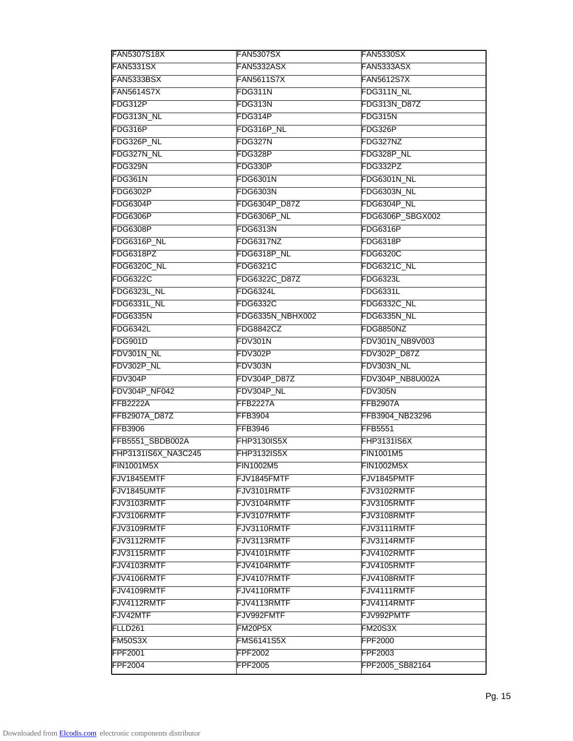| <b>FAN5307SX</b>   | <b>FAN5330SX</b>              |
|--------------------|-------------------------------|
| FAN5332ASX         | FAN5333ASX                    |
| <b>FAN5611S7X</b>  | <b>FAN5612S7X</b>             |
| FDG311N            | FDG311N_NL                    |
| FDG313N            | FDG313N_D87Z                  |
| FDG314P            | FDG315N                       |
| FDG316P_NL         | FDG326P                       |
| FDG327N            | FDG327NZ                      |
| FDG328P            | FDG328P_NL                    |
| FDG330P            | FDG332PZ                      |
| <b>FDG6301N</b>    | FDG6301N_NL                   |
| <b>FDG6303N</b>    | FDG6303N_NL                   |
| FDG6304P_D87Z      | FDG6304P_NL                   |
| FDG6306P_NL        | FDG6306P_SBGX002              |
| <b>FDG6313N</b>    | <b>FDG6316P</b>               |
| FDG6317NZ          | <b>FDG6318P</b>               |
| FDG6318P_NL        | <b>FDG6320C</b>               |
| <b>FDG6321C</b>    | <b>FDG6321C_NL</b>            |
| FDG6322C_D87Z      | <b>FDG6323L</b>               |
| FDG6324L           | <b>FDG6331L</b>               |
| <b>FDG6332C</b>    | FDG6332C_NL                   |
| FDG6335N_NBHX002   | FDG6335N_NL                   |
| <b>FDG8842CZ</b>   | FDG8850NZ                     |
|                    | FDV301N_NB9V003               |
| FDV302P            | FDV302P_D87Z                  |
| FDV303N            | FDV303N_NL                    |
| FDV304P_D87Z       | FDV304P_NB8U002A              |
| FDV304P_NL         | FDV305N                       |
| <b>FFB2227A</b>    | <b>FFB2907A</b>               |
| <b>FFB3904</b>     | FFB3904_NB23296               |
| <b>FFB3946</b>     | <b>FFB5551</b>                |
|                    | <b>FHP3131IS6X</b>            |
| <b>FHP3132IS5X</b> | <b>FIN1001M5</b>              |
| <b>FIN1002M5</b>   | <b>FIN1002M5X</b>             |
| FJV1845FMTF        | FJV1845PMTF                   |
| FJV3101RMTF        | FJV3102RMTF                   |
| FJV3104RMTF        | FJV3105RMTF                   |
| FJV3107RMTF        | FJV3108RMTF                   |
| FJV3110RMTF        | FJV3111RMTF                   |
| FJV3113RMTF        | FJV3114RMTF                   |
| FJV4101RMTF        | FJV4102RMTF                   |
| FJV4104RMTF        | FJV4105RMTF                   |
| FJV4107RMTF        | FJV4108RMTF                   |
|                    | FJV4111RMTF                   |
| FJV4110RMTF        |                               |
| FJV4113RMTF        | FJV4114RMTF                   |
| FJV992FMTF         | FJV992PMTF                    |
| FM20P5X            | FM20S3X                       |
| <b>FMS6141S5X</b>  | <b>FPF2000</b>                |
| <b>FPF2002</b>     | <b>FPF2003</b>                |
|                    | FDV301N<br><b>FHP3130IS5X</b> |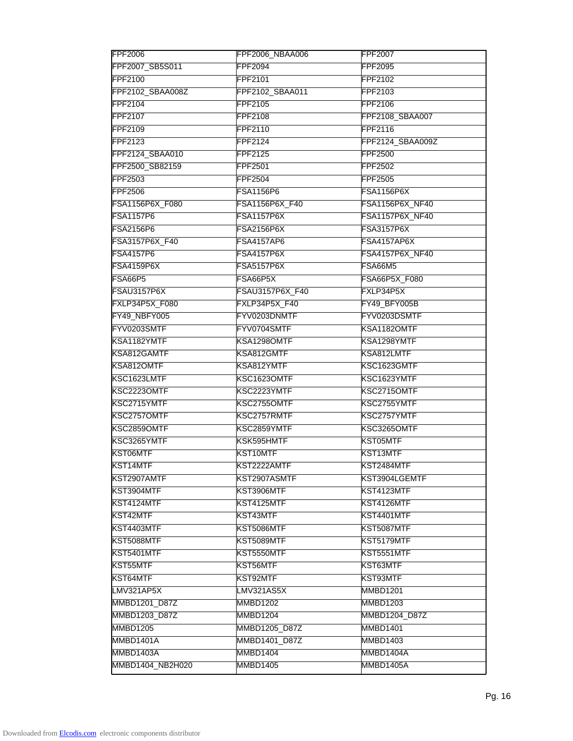| <b>FPF2006</b>    | FPF2006_NBAA006   | <b>FPF2007</b>         |
|-------------------|-------------------|------------------------|
| FPF2007_SB5S011   | <b>FPF2094</b>    | FPF2095                |
| FPF2100           | FPF2101           | FPF2102                |
| FPF2102_SBAA008Z  | FPF2102_SBAA011   | FPF2103                |
| FPF2104           | FPF2105           | FPF2106                |
| FPF2107           | FPF2108           | FPF2108_SBAA007        |
| FPF2109           | FPF2110           | FPF2116                |
| FPF2123           | FPF2124           | FPF2124_SBAA009Z       |
| FPF2124_SBAA010   | <b>FPF2125</b>    | FPF2500                |
| FPF2500_SB82159   | <b>FPF2501</b>    | FPF2502                |
| FPF2503           | <b>FPF2504</b>    | <b>FPF2505</b>         |
| <b>FPF2506</b>    | <b>FSA1156P6</b>  | FSA1156P6X             |
| FSA1156P6X_F080   | FSA1156P6X_F40    | FSA1156P6X_NF40        |
| <b>FSA1157P6</b>  | <b>FSA1157P6X</b> | FSA1157P6X_NF40        |
| <b>FSA2156P6</b>  | <b>FSA2156P6X</b> | <b>FSA3157P6X</b>      |
| FSA3157P6X_F40    | <b>FSA4157AP6</b> | FSA4157AP6X            |
| <b>FSA4157P6</b>  | FSA4157P6X        | <b>FSA4157P6X NF40</b> |
| <b>FSA4159P6X</b> | <b>FSA5157P6X</b> | FSA66M5                |
| <b>FSA66P5</b>    | FSA66P5X          | FSA66P5X_F080          |
| FSAU3157P6X       | FSAU3157P6X_F40   | FXLP34P5X              |
| FXLP34P5X_F080    | FXLP34P5X_F40     | FY49_BFY005B           |
| FY49_NBFY005      | FYV0203DNMTF      | FYV0203DSMTF           |
| FYV0203SMTF       | FYV0704SMTF       | KSA1182OMTF            |
| KSA1182YMTF       | KSA1298OMTF       | KSA1298YMTF            |
| KSA812GAMTF       | KSA812GMTF        | KSA812LMTF             |
| KSA812OMTF        | KSA812YMTF        | KSC1623GMTF            |
| KSC1623LMTF       | KSC1623OMTF       | KSC1623YMTF            |
| KSC2223OMTF       | KSC2223YMTF       | KSC2715OMTF            |
| KSC2715YMTF       | KSC2755OMTF       | KSC2755YMTF            |
| KSC2757OMTF       | KSC2757RMTF       | KSC2757YMTF            |
| KSC2859OMTF       | KSC2859YMTF       | KSC3265OMTF            |
| KSC3265YMTF       | KSK595HMTF        | KST05MTF               |
| KST06MTF          | <b>KST10MTF</b>   | <b>KST13MTF</b>        |
| KST14MTF          | KST2222AMTF       | KST2484MTF             |
| KST2907AMTF       | KST2907ASMTF      | KST3904LGEMTF          |
| KST3904MTF        | KST3906MTF        | KST4123MTF             |
| KST4124MTF        | KST4125MTF        | KST4126MTF             |
| KST42MTF          | <b>KST43MTF</b>   | KST4401MTF             |
| KST4403MTF        | KST5086MTF        | KST5087MTF             |
| KST5088MTF        | KST5089MTF        | KST5179MTF             |
| KST5401MTF        | KST5550MTF        | KST5551MTF             |
| KST55MTF          | KST56MTF          | KST63MTF               |
| KST64MTF          | KST92MTF          | KST93MTF               |
| <b>LMV321AP5X</b> | LMV321AS5X        | <b>MMBD1201</b>        |
| MMBD1201_D87Z     | <b>MMBD1202</b>   | <b>MMBD1203</b>        |
| MMBD1203_D87Z     | MMBD1204          | MMBD1204_D87Z          |
| MMBD1205          | MMBD1205_D87Z     | <b>MMBD1401</b>        |
| MMBD1401A         | MMBD1401_D87Z     | MMBD1403               |
| MMBD1403A         | MMBD1404          | MMBD1404A              |
| MMBD1404_NB2H020  | MMBD1405          | MMBD1405A              |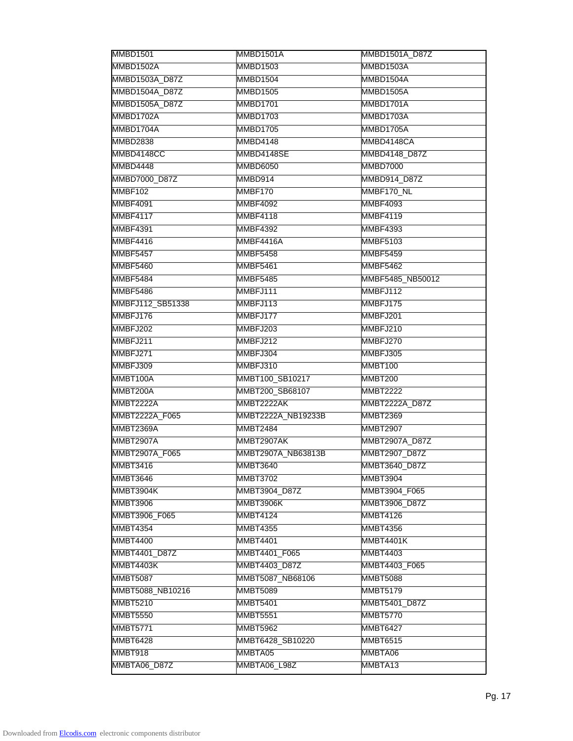| MMBD1501A       | <b>MMBD1501A D87Z</b>                                                                                                                                                                                                                                                                                                                                                                                                           |
|-----------------|---------------------------------------------------------------------------------------------------------------------------------------------------------------------------------------------------------------------------------------------------------------------------------------------------------------------------------------------------------------------------------------------------------------------------------|
| MMBD1503        | MMBD1503A                                                                                                                                                                                                                                                                                                                                                                                                                       |
| MMBD1504        | MMBD1504A                                                                                                                                                                                                                                                                                                                                                                                                                       |
| MMBD1505        | MMBD1505A                                                                                                                                                                                                                                                                                                                                                                                                                       |
| MMBD1701        | MMBD1701A                                                                                                                                                                                                                                                                                                                                                                                                                       |
| MMBD1703        | MMBD1703A                                                                                                                                                                                                                                                                                                                                                                                                                       |
| MMBD1705        | MMBD1705A                                                                                                                                                                                                                                                                                                                                                                                                                       |
| MMBD4148        | MMBD4148CA                                                                                                                                                                                                                                                                                                                                                                                                                      |
| MMBD4148SE      | MMBD4148_D87Z                                                                                                                                                                                                                                                                                                                                                                                                                   |
| MMBD6050        | <b>MMBD7000</b>                                                                                                                                                                                                                                                                                                                                                                                                                 |
| MMBD914         | MMBD914_D87Z                                                                                                                                                                                                                                                                                                                                                                                                                    |
| MMBF170         | MMBF170_NL                                                                                                                                                                                                                                                                                                                                                                                                                      |
| <b>MMBF4092</b> | MMBF4093                                                                                                                                                                                                                                                                                                                                                                                                                        |
| <b>MMBF4118</b> | MMBF4119                                                                                                                                                                                                                                                                                                                                                                                                                        |
| <b>MMBF4392</b> | <b>MMBF4393</b>                                                                                                                                                                                                                                                                                                                                                                                                                 |
| MMBF4416A       | <b>MMBF5103</b>                                                                                                                                                                                                                                                                                                                                                                                                                 |
| <b>MMBF5458</b> | <b>MMBF5459</b>                                                                                                                                                                                                                                                                                                                                                                                                                 |
| MMBF5461        | <b>MMBF5462</b>                                                                                                                                                                                                                                                                                                                                                                                                                 |
| <b>MMBF5485</b> | MMBF5485_NB50012                                                                                                                                                                                                                                                                                                                                                                                                                |
| MMBFJ111        | MMBFJ112                                                                                                                                                                                                                                                                                                                                                                                                                        |
| MMBFJ113        | MMBFJ175                                                                                                                                                                                                                                                                                                                                                                                                                        |
| MMBFJ177        | MMBFJ201                                                                                                                                                                                                                                                                                                                                                                                                                        |
| MMBFJ203        | MMBFJ210                                                                                                                                                                                                                                                                                                                                                                                                                        |
| MMBFJ212        | MMBFJ270                                                                                                                                                                                                                                                                                                                                                                                                                        |
| MMBFJ304        | MMBFJ305                                                                                                                                                                                                                                                                                                                                                                                                                        |
| MMBFJ310        | MMBT100                                                                                                                                                                                                                                                                                                                                                                                                                         |
|                 | MMBT200                                                                                                                                                                                                                                                                                                                                                                                                                         |
|                 | <b>MMBT2222</b>                                                                                                                                                                                                                                                                                                                                                                                                                 |
|                 | <b>MMBT2222A D87Z</b>                                                                                                                                                                                                                                                                                                                                                                                                           |
|                 | <b>MMBT2369</b>                                                                                                                                                                                                                                                                                                                                                                                                                 |
| <b>MMBT2484</b> | <b>MMBT2907</b>                                                                                                                                                                                                                                                                                                                                                                                                                 |
|                 | MMBT2907A_D87Z                                                                                                                                                                                                                                                                                                                                                                                                                  |
|                 | MMBT2907_D87Z                                                                                                                                                                                                                                                                                                                                                                                                                   |
|                 | MMBT3640_D87Z                                                                                                                                                                                                                                                                                                                                                                                                                   |
|                 | <b>MMBT3904</b>                                                                                                                                                                                                                                                                                                                                                                                                                 |
|                 | MMBT3904_F065                                                                                                                                                                                                                                                                                                                                                                                                                   |
|                 | MMBT3906_D87Z                                                                                                                                                                                                                                                                                                                                                                                                                   |
|                 | MMBT4126                                                                                                                                                                                                                                                                                                                                                                                                                        |
|                 | <b>MMBT4356</b>                                                                                                                                                                                                                                                                                                                                                                                                                 |
|                 | MMBT4401K                                                                                                                                                                                                                                                                                                                                                                                                                       |
|                 | MMBT4403                                                                                                                                                                                                                                                                                                                                                                                                                        |
|                 | MMBT4403 F065                                                                                                                                                                                                                                                                                                                                                                                                                   |
|                 | <b>MMBT5088</b>                                                                                                                                                                                                                                                                                                                                                                                                                 |
|                 | MMBT5179                                                                                                                                                                                                                                                                                                                                                                                                                        |
|                 | MMBT5401_D87Z                                                                                                                                                                                                                                                                                                                                                                                                                   |
|                 | <b>MMBT5770</b>                                                                                                                                                                                                                                                                                                                                                                                                                 |
|                 | <b>MMBT6427</b>                                                                                                                                                                                                                                                                                                                                                                                                                 |
|                 | <b>MMBT6515</b>                                                                                                                                                                                                                                                                                                                                                                                                                 |
|                 | MMBTA06                                                                                                                                                                                                                                                                                                                                                                                                                         |
|                 |                                                                                                                                                                                                                                                                                                                                                                                                                                 |
|                 | MMBTA13                                                                                                                                                                                                                                                                                                                                                                                                                         |
|                 | MMBT100_SB10217<br>MMBT200 SB68107<br>MMBT2222AK<br>MMBT2222A NB19233B<br>MMBT2907AK<br>MMBT2907A_NB63813B<br><b>MMBT3640</b><br><b>MMBT3702</b><br>MMBT3904_D87Z<br>MMBT3906K<br><b>MMBT4124</b><br><b>MMBT4355</b><br><b>MMBT4401</b><br>MMBT4401_F065<br><b>MMBT4403 D87Z</b><br>MMBT5087_NB68106<br><b>MMBT5089</b><br><b>MMBT5401</b><br><b>MMBT5551</b><br><b>MMBT5962</b><br>MMBT6428_SB10220<br>MMBTA05<br>MMBTA06 L98Z |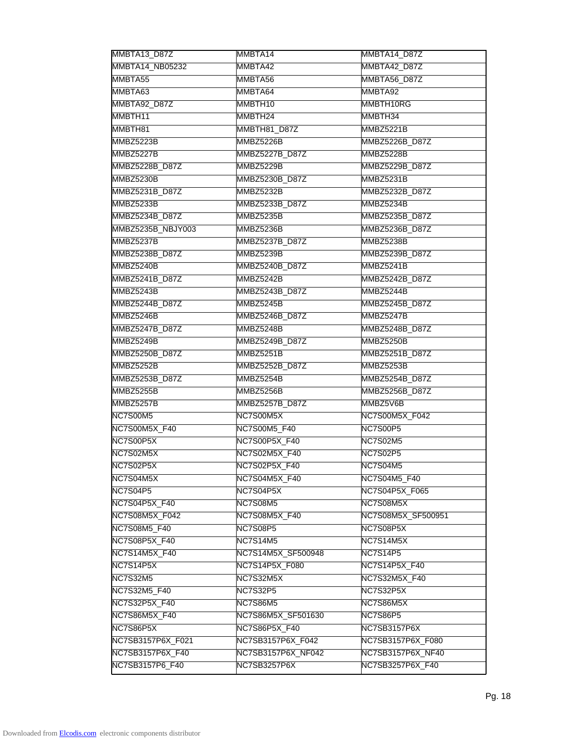| MMBTA13_D87Z          | MMBTA14            | MMBTA14_D87Z          |
|-----------------------|--------------------|-----------------------|
| MMBTA14_NB05232       | MMBTA42            | MMBTA42_D87Z          |
| MMBTA55               | MMBTA56            | MMBTA56_D87Z          |
| MMBTA63               | MMBTA64            | MMBTA92               |
| MMBTA92_D87Z          | MMBTH10            | MMBTH10RG             |
| MMBTH11               | MMBTH24            | MMBTH34               |
| MMBTH81               | MMBTH81_D87Z       | MMBZ5221B             |
| MMBZ5223B             | MMBZ5226B          | <b>MMBZ5226B D87Z</b> |
| MMBZ5227B             | MMBZ5227B_D87Z     | MMBZ5228B             |
| <b>MMBZ5228B D87Z</b> | MMBZ5229B          | <b>MMBZ5229B D87Z</b> |
| MMBZ5230B             | MMBZ5230B_D87Z     | MMBZ5231B             |
| MMBZ5231B_D87Z        | MMBZ5232B          | MMBZ5232B_D87Z        |
| MMBZ5233B             | MMBZ5233B_D87Z     | MMBZ5234B             |
| MMBZ5234B_D87Z        | MMBZ5235B          | MMBZ5235B_D87Z        |
| MMBZ5235B_NBJY003     | MMBZ5236B          | MMBZ5236B_D87Z        |
| MMBZ5237B             | MMBZ5237B_D87Z     | MMBZ5238B             |
| MMBZ5238B_D87Z        | MMBZ5239B          | MMBZ5239B_D87Z        |
| MMBZ5240B             | MMBZ5240B_D87Z     | MMBZ5241B             |
| <b>MMBZ5241B D87Z</b> | MMBZ5242B          | <b>MMBZ5242B D87Z</b> |
| MMBZ5243B             | MMBZ5243B_D87Z     | MMBZ5244B             |
| MMBZ5244B_D87Z        | MMBZ5245B          | MMBZ5245B_D87Z        |
| MMBZ5246B             | MMBZ5246B_D87Z     | MMBZ5247B             |
| MMBZ5247B_D87Z        | MMBZ5248B          | MMBZ5248B_D87Z        |
| MMBZ5249B             | MMBZ5249B_D87Z     | MMBZ5250B             |
| MMBZ5250B_D87Z        | <b>MMBZ5251B</b>   | MMBZ5251B_D87Z        |
| MMBZ5252B             | MMBZ5252B_D87Z     | MMBZ5253B             |
| MMBZ5253B_D87Z        | MMBZ5254B          | MMBZ5254B_D87Z        |
| MMBZ5255B             | MMBZ5256B          | <b>MMBZ5256B D87Z</b> |
| MMBZ5257B             | MMBZ5257B_D87Z     | MMBZ5V6B              |
| <b>NC7S00M5</b>       | NC7S00M5X          | NC7S00M5X_F042        |
| NC7S00M5X_F40         | NC7S00M5_F40       | NC7S00P5              |
| NC7S00P5X             | NC7S00P5X_F40      | <b>NC7S02M5</b>       |
| NC7S02M5X             | NC7S02M5X F40      | <b>NC7S02P5</b>       |
| NC7S02P5X             | NC7S02P5X_F40      | <b>NC7S04M5</b>       |
| NC7S04M5X             | NC7S04M5X_F40      | <b>NC7S04M5 F40</b>   |
| NC7S04P5              | NC7S04P5X          | NC7S04P5X_F065        |
| NC7S04P5X_F40         | <b>NC7S08M5</b>    | NC7S08M5X             |
| NC7S08M5X_F042        | NC7S08M5X_F40      | NC7S08M5X_SF500951    |
| NC7S08M5_F40          | <b>NC7S08P5</b>    | NC7S08P5X             |
| <b>NC7S08P5X_F40</b>  | <b>NC7S14M5</b>    | NC7S14M5X             |
| <b>NC7S14M5X F40</b>  | NC7S14M5X_SF500948 | <b>NC7S14P5</b>       |
| <b>NC7S14P5X</b>      | NC7S14P5X_F080     | <b>NC7S14P5X F40</b>  |
| <b>NC7S32M5</b>       | <b>NC7S32M5X</b>   | NC7S32M5X_F40         |
| NC7S32M5_F40          | <b>NC7S32P5</b>    | NC7S32P5X             |
| NC7S32P5X_F40         | <b>NC7S86M5</b>    | NC7S86M5X             |
| <b>NC7S86M5X_F40</b>  | NC7S86M5X_SF501630 | <b>NC7S86P5</b>       |
| <b>NC7S86P5X</b>      | NC7S86P5X_F40      | NC7SB3157P6X          |
| NC7SB3157P6X_F021     | NC7SB3157P6X_F042  | NC7SB3157P6X_F080     |
| NC7SB3157P6X_F40      | NC7SB3157P6X_NF042 | NC7SB3157P6X_NF40     |
| NC7SB3157P6_F40       | NC7SB3257P6X       | NC7SB3257P6X_F40      |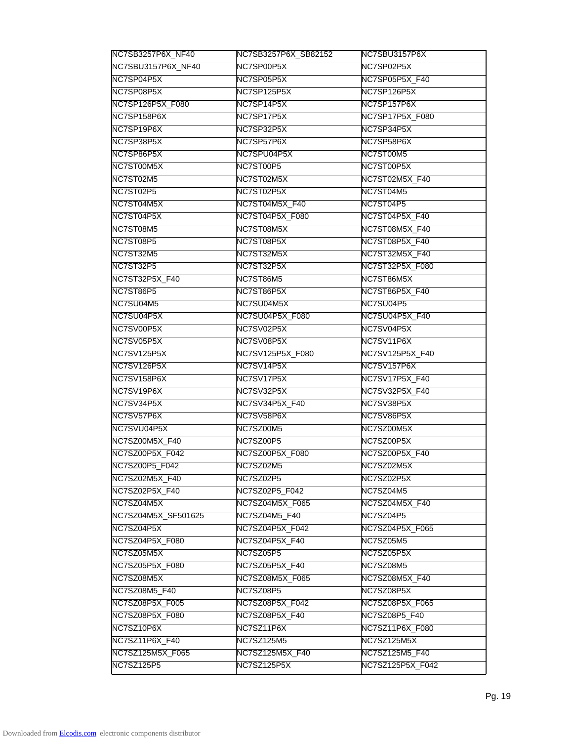| NC7SB3257P6X_NF40      | NC7SB3257P6X_SB82152  | NC7SBU3157P6X    |
|------------------------|-----------------------|------------------|
| NC7SBU3157P6X_NF40     | NC7SP00P5X            | NC7SP02P5X       |
| NC7SP04P5X             | NC7SP05P5X            | NC7SP05P5X_F40   |
| NC7SP08P5X             | NC7SP125P5X           | NC7SP126P5X      |
| NC7SP126P5X_F080       | NC7SP14P5X            | NC7SP157P6X      |
| NC7SP158P6X            | NC7SP17P5X            | NC7SP17P5X_F080  |
| NC7SP19P6X             | NC7SP32P5X            | NC7SP34P5X       |
| NC7SP38P5X             | NC7SP57P6X            | NC7SP58P6X       |
| NC7SP86P5X             | NC7SPU04P5X           | NC7ST00M5        |
| NC7ST00M5X             | NC7ST00P5             | NC7ST00P5X       |
| NC7ST02M5              | NC7ST02M5X            | NC7ST02M5X_F40   |
| NC7ST02P5              | NC7ST02P5X            | NC7ST04M5        |
| NC7ST04M5X             | NC7ST04M5X_F40        | NC7ST04P5        |
| NC7ST04P5X             | NC7ST04P5X_F080       | NC7ST04P5X_F40   |
| NC7ST08M5              | NC7ST08M5X            | NC7ST08M5X_F40   |
| NC7ST08P5              | NC7ST08P5X            | NC7ST08P5X_F40   |
| <b>NC7ST32M5</b>       | NC7ST32M5X            | NC7ST32M5X_F40   |
| NC7ST32P5              | NC7ST32P5X            | NC7ST32P5X_F080  |
| <b>NC7ST32P5X F40</b>  | NC7ST86M5             | NC7ST86M5X       |
| NC7ST86P5              | NC7ST86P5X            | NC7ST86P5X_F40   |
| NC7SU04M5              | NC7SU04M5X            | NC7SU04P5        |
| NC7SU04P5X             | NC7SU04P5X_F080       | NC7SU04P5X_F40   |
| NC7SV00P5X             | NC7SV02P5X            | NC7SV04P5X       |
| NC7SV05P5X             | NC7SV08P5X            | NC7SV11P6X       |
| NC7SV125P5X            | NC7SV125P5X_F080      | NC7SV125P5X_F40  |
| NC7SV126P5X            | NC7SV14P5X            | NC7SV157P6X      |
| NC7SV158P6X            | NC7SV17P5X            | NC7SV17P5X_F40   |
| NC7SV19P6X             | NC7SV32P5X            | NC7SV32P5X_F40   |
| NC7SV34P5X             | NC7SV34P5X_F40        | NC7SV38P5X       |
| NC7SV57P6X             | NC7SV58P6X            | NC7SV86P5X       |
| NC7SVU04P5X            | NC7SZ00M5             | NC7SZ00M5X       |
| NC7SZ00M5X_F40         | NC7SZ00P5             | NC7SZ00P5X       |
| NC7SZ00P5X_F042        | NC7SZ00P5X_F080       | NC7SZ00P5X_F40   |
| NC7SZ00P5_F042         | NC7SZ02M5             | NC7SZ02M5X       |
| NC7SZ02M5X_F40         | NC7SZ02P5             | NC7SZ02P5X       |
| NC7SZ02P5X_F40         | NC7SZ02P5_F042        | NC7SZ04M5        |
| NC7SZ04M5X             | NC7SZ04M5X_F065       | NC7SZ04M5X_F40   |
| NC7SZ04M5X_SF501625    | NC7SZ04M5_F40         | NC7SZ04P5        |
| NC7SZ04P5X             | NC7SZ04P5X_F042       | NC7SZ04P5X_F065  |
| <b>NC7SZ04P5X_F080</b> | <b>NC7SZ04P5X_F40</b> | NC7SZ05M5        |
| NC7SZ05M5X             | NC7SZ05P5             | NC7SZ05P5X       |
| NC7SZ05P5X_F080        | NC7SZ05P5X_F40        | NC7SZ08M5        |
| NC7SZ08M5X             | NC7SZ08M5X_F065       | NC7SZ08M5X_F40   |
| NC7SZ08M5_F40          | NC7SZ08P5             | NC7SZ08P5X       |
| NC7SZ08P5X_F005        | NC7SZ08P5X_F042       | NC7SZ08P5X_F065  |
| NC7SZ08P5X_F080        | NC7SZ08P5X_F40        | NC7SZ08P5_F40    |
| NC7SZ10P6X             | NC7SZ11P6X            | NC7SZ11P6X_F080  |
| NC7SZ11P6X_F40         | <b>NC7SZ125M5</b>     | NC7SZ125M5X      |
| NC7SZ125M5X_F065       | NC7SZ125M5X_F40       | NC7SZ125M5 F40   |
| <b>NC7SZ125P5</b>      | NC7SZ125P5X           | NC7SZ125P5X_F042 |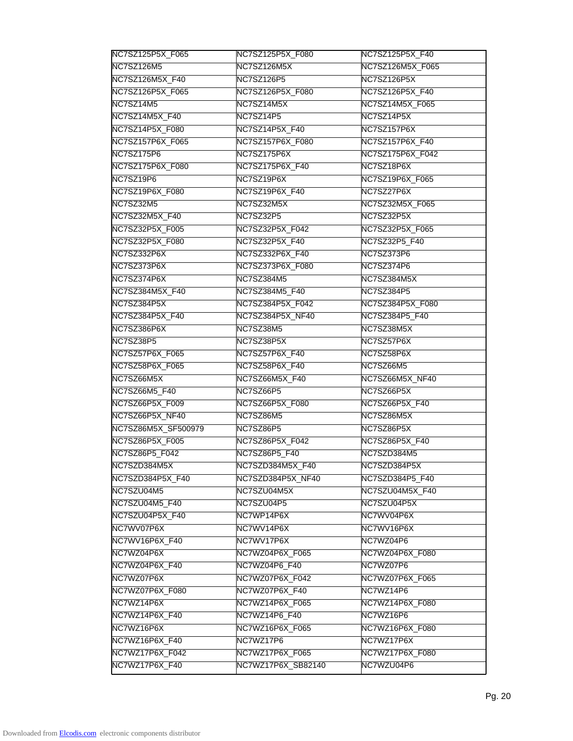| NC7SZ125P5X_F065       | NC7SZ125P5X_F080   | NC7SZ125P5X_F40        |
|------------------------|--------------------|------------------------|
| <b>NC7SZ126M5</b>      | <b>NC7SZ126M5X</b> | NC7SZ126M5X_F065       |
| NC7SZ126M5X_F40        | NC7SZ126P5         | NC7SZ126P5X            |
| NC7SZ126P5X_F065       | NC7SZ126P5X_F080   | NC7SZ126P5X_F40        |
| NC7SZ14M5              | NC7SZ14M5X         | NC7SZ14M5X_F065        |
| NC7SZ14M5X_F40         | NC7SZ14P5          | NC7SZ14P5X             |
| NC7SZ14P5X_F080        | NC7SZ14P5X_F40     | NC7SZ157P6X            |
| NC7SZ157P6X_F065       | NC7SZ157P6X_F080   | NC7SZ157P6X_F40        |
| <b>NC7SZ175P6</b>      | NC7SZ175P6X        | NC7SZ175P6X_F042       |
| NC7SZ175P6X_F080       | NC7SZ175P6X_F40    | NC7SZ18P6X             |
| NC7SZ19P6              | NC7SZ19P6X         | NC7SZ19P6X_F065        |
| NC7SZ19P6X_F080        | NC7SZ19P6X_F40     | NC7SZ27P6X             |
| NC7SZ32M5              | NC7SZ32M5X         | NC7SZ32M5X_F065        |
| NC7SZ32M5X_F40         | NC7SZ32P5          | NC7SZ32P5X             |
| <b>NC7SZ32P5X F005</b> | NC7SZ32P5X_F042    | <b>NC7SZ32P5X_F065</b> |
| <b>NC7SZ32P5X_F080</b> | NC7SZ32P5X_F40     | NC7SZ32P5_F40          |
| NC7SZ332P6X            | NC7SZ332P6X F40    | NC7SZ373P6             |
| NC7SZ373P6X            | NC7SZ373P6X_F080   | NC7SZ374P6             |
| NC7SZ374P6X            | NC7SZ384M5         | NC7SZ384M5X            |
| NC7SZ384M5X_F40        | NC7SZ384M5_F40     | <b>NC7SZ384P5</b>      |
| NC7SZ384P5X            | NC7SZ384P5X_F042   | NC7SZ384P5X_F080       |
| NC7SZ384P5X_F40        | NC7SZ384P5X_NF40   | NC7SZ384P5_F40         |
| NC7SZ386P6X            | NC7SZ38M5          | NC7SZ38M5X             |
| NC7SZ38P5              | NC7SZ38P5X         | NC7SZ57P6X             |
| NC7SZ57P6X_F065        | NC7SZ57P6X_F40     | NC7SZ58P6X             |
| NC7SZ58P6X_F065        | NC7SZ58P6X_F40     | NC7SZ66M5              |
| NC7SZ66M5X             | NC7SZ66M5X_F40     | NC7SZ66M5X_NF40        |
| NC7SZ66M5_F40          | NC7SZ66P5          | NC7SZ66P5X             |
| NC7SZ66P5X_F009        | NC7SZ66P5X_F080    | NC7SZ66P5X_F40         |
| NC7SZ66P5X_NF40        | NC7SZ86M5          | NC7SZ86M5X             |
| NC7SZ86M5X_SF500979    | NC7SZ86P5          | NC7SZ86P5X             |
| NC7SZ86P5X_F005        | NC7SZ86P5X_F042    | NC7SZ86P5X_F40         |
| NC7SZ86P5_F042         | NC7SZ86P5_F40      | NC7SZD384M5            |
| NC7SZD384M5X           | NC7SZD384M5X_F40   | NC7SZD384P5X           |
| NC7SZD384P5X_F40       | NC7SZD384P5X_NF40  | NC7SZD384P5_F40        |
| NC7SZU04M5             | NC7SZU04M5X        | NC7SZU04M5X_F40        |
| NC7SZU04M5 F40         | NC7SZU04P5         | NC7SZU04P5X            |
| NC7SZU04P5X_F40        | NC7WP14P6X         | NC7WV04P6X             |
| NC7WV07P6X             | NC7WV14P6X         | NC7WV16P6X             |
| NC7WV16P6X_F40         | NC7WV17P6X         | NC7WZ04P6              |
| NC7WZ04P6X             | NC7WZ04P6X_F065    | NC7WZ04P6X F080        |
| NC7WZ04P6X F40         | NC7WZ04P6_F40      | NC7WZ07P6              |
| NC7WZ07P6X             | NC7WZ07P6X_F042    | NC7WZ07P6X_F065        |
| NC7WZ07P6X_F080        | NC7WZ07P6X_F40     | NC7WZ14P6              |
| NC7WZ14P6X             | NC7WZ14P6X_F065    | NC7WZ14P6X_F080        |
| NC7WZ14P6X_F40         | NC7WZ14P6_F40      | NC7WZ16P6              |
| NC7WZ16P6X             | NC7WZ16P6X_F065    | NC7WZ16P6X_F080        |
| NC7WZ16P6X_F40         | NC7WZ17P6          | NC7WZ17P6X             |
| NC7WZ17P6X_F042        | NC7WZ17P6X_F065    | NC7WZ17P6X F080        |
| NC7WZ17P6X_F40         | NC7WZ17P6X_SB82140 | NC7WZU04P6             |
|                        |                    |                        |